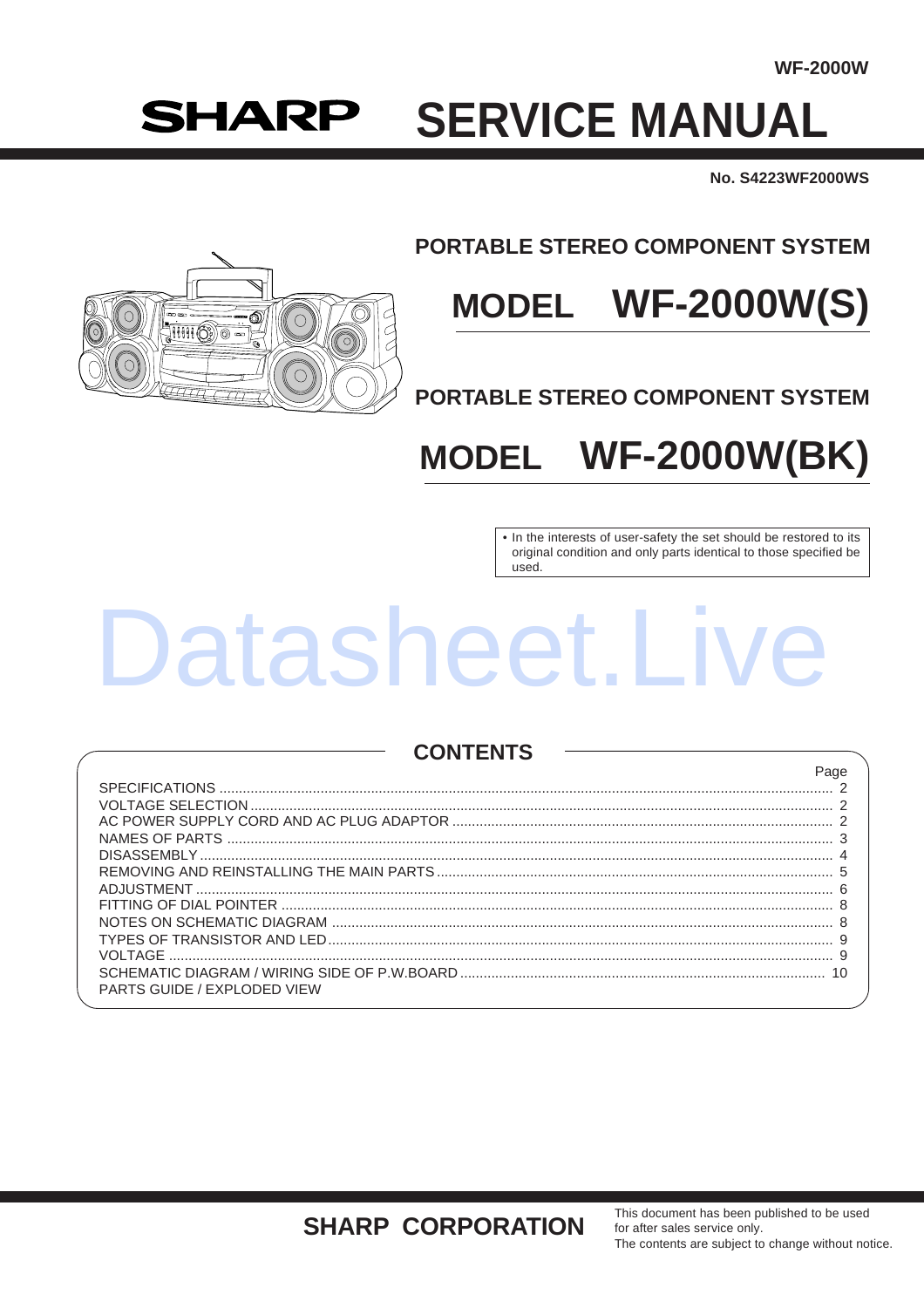$D_{000}$ 

# **SHARP SERVICE MANUAL**

No. S4223WF2000WS



# **PORTABLE STEREO COMPONENT SYSTEM**

# MODEL WF-2000W(S)

**PORTABLE STEREO COMPONENT SYSTEM** 

### **WF-2000W(BK) MODEL**

• In the interests of user-safety the set should be restored to its original condition and only parts identical to those specified be used.

# Datasheet.Liv

## **CONTENTS**

|                                    | ayo |
|------------------------------------|-----|
|                                    |     |
|                                    |     |
|                                    |     |
|                                    |     |
|                                    |     |
|                                    |     |
|                                    |     |
|                                    |     |
|                                    |     |
|                                    |     |
|                                    |     |
| <b>PARTS GUIDE / EXPLODED VIEW</b> |     |
|                                    |     |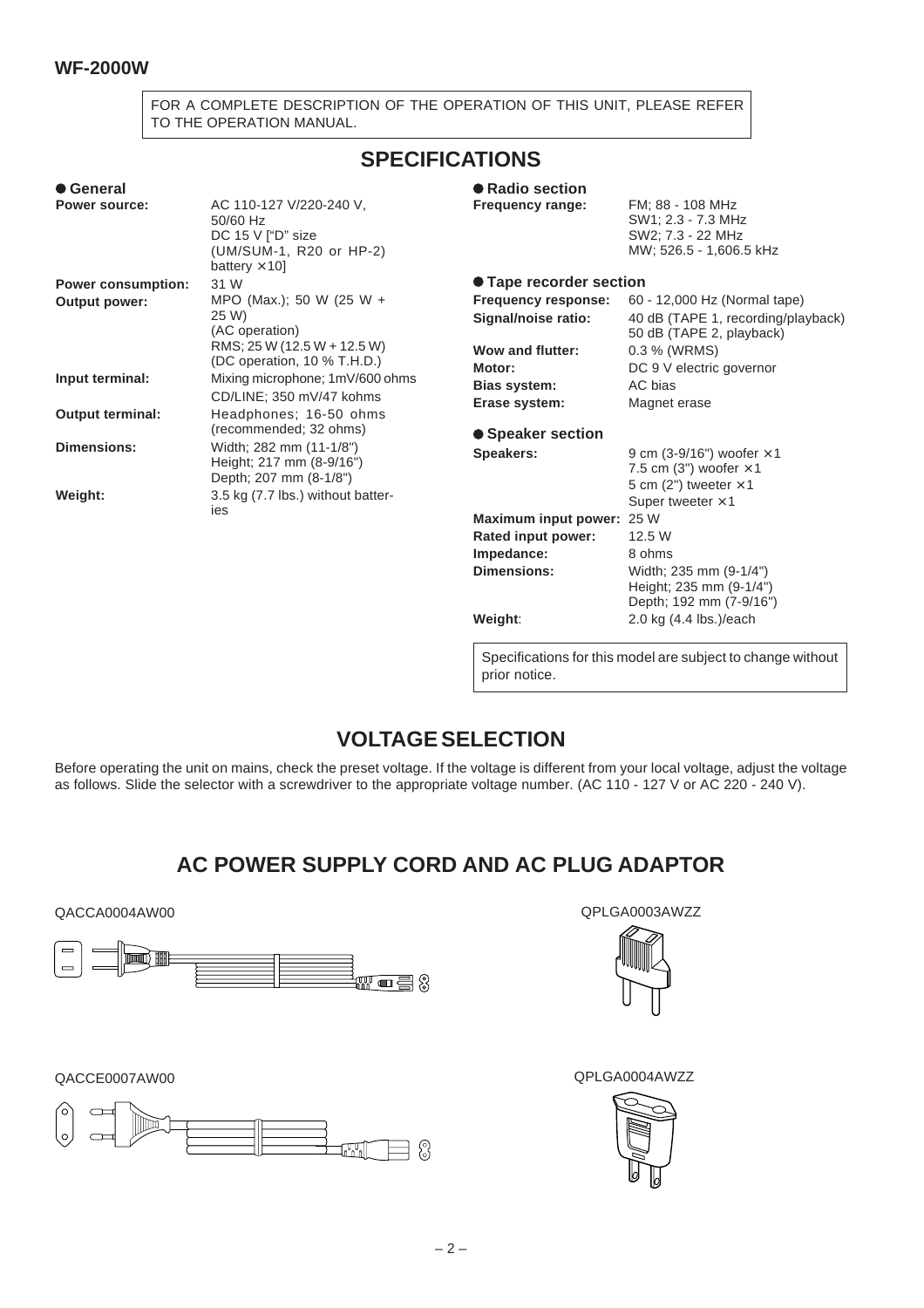FOR A COMPLETE DESCRIPTION OF THE OPERATION OF THIS UNIT, PLEASE REFER TO THE OPERATION MANUAL.

# **SPECIFICATIONS**

| ● General                 |                                                                                                                   | ● Radio section                                                       |                                                                                                                |
|---------------------------|-------------------------------------------------------------------------------------------------------------------|-----------------------------------------------------------------------|----------------------------------------------------------------------------------------------------------------|
| <b>Power source:</b>      | AC 110-127 V/220-240 V.<br>50/60 Hz<br>DC 15 V ["D" size<br>(UM/SUM-1, R20 or HP-2)<br>battery $\times$ 10]       | Frequency range:                                                      | FM: 88 - 108 MHz<br>SW1: 2.3 - 7.3 MHz<br>SW2; 7.3 - 22 MHz<br>MW; 526.5 - 1,606.5 kHz                         |
| <b>Power consumption:</b> | 31 W                                                                                                              | ● Tape recorder section                                               |                                                                                                                |
| <b>Output power:</b>      | MPO (Max.); 50 W (25 W +<br>25 W)<br>(AC operation)<br>RMS; 25 W (12.5 W + 12.5 W)<br>(DC operation, 10 % T.H.D.) | Frequency response:<br>Signal/noise ratio:<br><b>Wow and flutter:</b> | 60 - 12,000 Hz (Normal tape)<br>40 dB (TAPE 1, recording/playback)<br>50 dB (TAPE 2, playback)<br>0.3 % (WRMS) |
| Input terminal:           | Mixing microphone; 1mV/600 ohms<br>CD/LINE; 350 mV/47 kohms                                                       | Motor:<br><b>Bias system:</b><br>Erase system:                        | DC 9 V electric governor<br>AC bias<br>Magnet erase                                                            |
| <b>Output terminal:</b>   | Headphones; 16-50 ohms<br>(recommended; 32 ohms)                                                                  | ● Speaker section                                                     |                                                                                                                |
| <b>Dimensions:</b>        | Width; 282 mm (11-1/8")<br>Height; 217 mm (8-9/16")<br>Depth; 207 mm (8-1/8")                                     | Speakers:                                                             | 9 cm (3-9/16") woofer $\times$ 1<br>7.5 cm (3") woofer $\times$ 1<br>5 cm (2") tweeter $\times$ 1              |
| Weight:                   | 3.5 kg (7.7 lbs.) without batter-<br>ies                                                                          |                                                                       | Super tweeter $\times$ 1                                                                                       |
|                           |                                                                                                                   | Maximum input power:                                                  | 25 W                                                                                                           |
|                           |                                                                                                                   | Rated input power:                                                    | 12.5 W                                                                                                         |
|                           |                                                                                                                   | Impedance:                                                            | 8 ohms                                                                                                         |
|                           |                                                                                                                   | Dimensions:                                                           | Width; 235 mm (9-1/4")<br>Height; 235 mm (9-1/4")                                                              |

Specifications for this model are subject to change without prior notice.

**Weight**: 2.0 kg (4.4 lbs.)/each

Depth; 192 mm (7-9/16")

# **VOLTAGE SELECTION**

Before operating the unit on mains, check the preset voltage. If the voltage is different from your local voltage, adjust the voltage as follows. Slide the selector with a screwdriver to the appropriate voltage number. (AC 110 - 127 V or AC 220 - 240 V).

# **AC POWER SUPPLY CORD AND AC PLUG ADAPTOR**

QACCA0004AW00 QPLGA0003AWZZ







QACCE0007AW00 QPLGA0004AWZZ

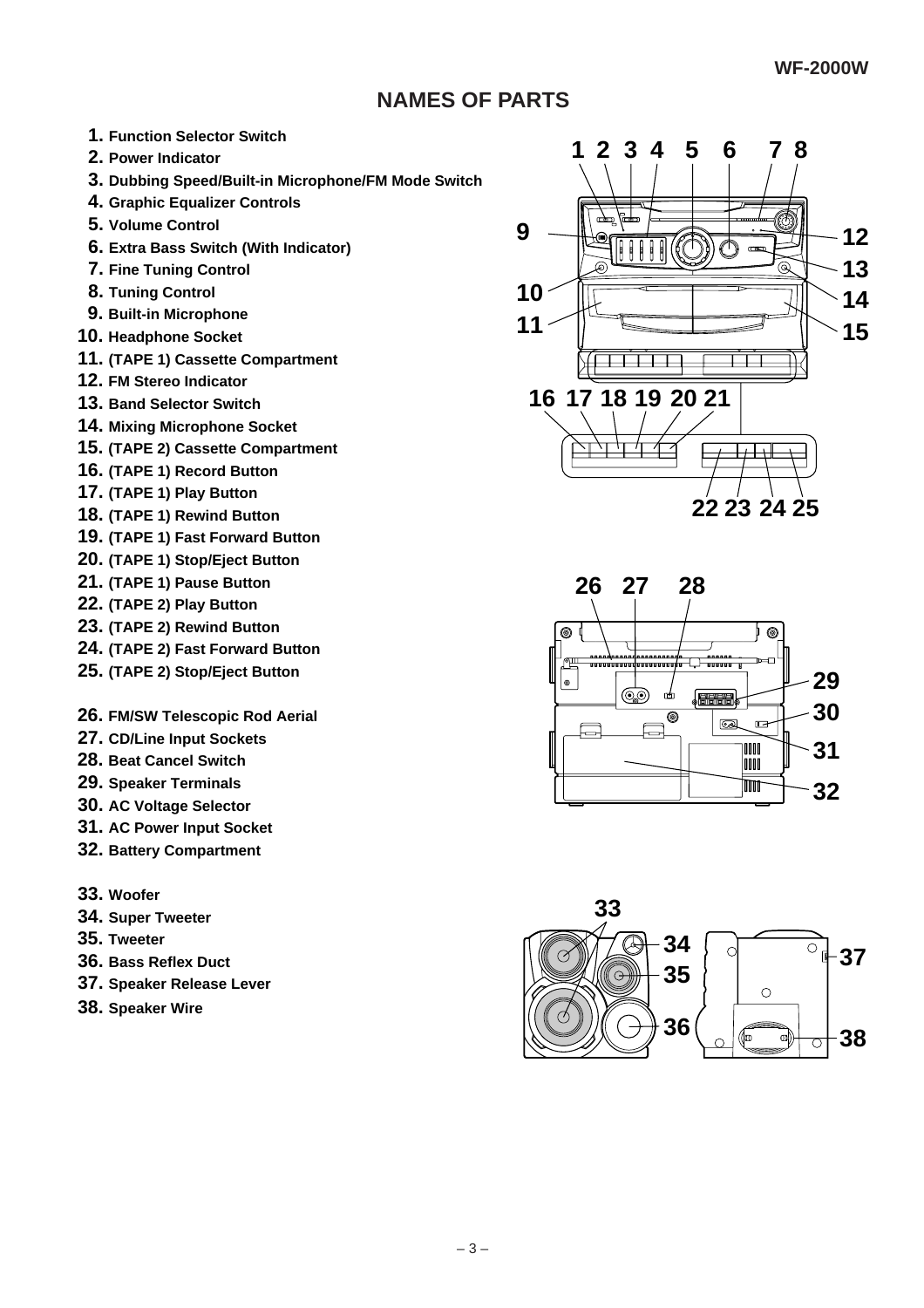# **NAMES OF PARTS**

- **1. Function Selector Switch**
- **2. Power Indicator**
- **3. Dubbing Speed/Built-in Microphone/FM Mode Switch**
- **4. Graphic Equalizer Controls**
- **5. Volume Control**
- **6. Extra Bass Switch (With Indicator)**
- **7. Fine Tuning Control**
- **8. Tuning Control**
- **9. Built-in Microphone**
- **10. Headphone Socket**
- **11. (TAPE 1) Cassette Compartment**
- **12. FM Stereo Indicator**
- **13. Band Selector Switch**
- **14. Mixing Microphone Socket**
- **15. (TAPE 2) Cassette Compartment**
- **16. (TAPE 1) Record Button**
- **17. (TAPE 1) Play Button**
- **18. (TAPE 1) Rewind Button**
- **19. (TAPE 1) Fast Forward Button**
- **20. (TAPE 1) Stop/Eject Button**
- **21. (TAPE 1) Pause Button**
- **22. (TAPE 2) Play Button**
- **23. (TAPE 2) Rewind Button**
- **24. (TAPE 2) Fast Forward Button**
- **25. (TAPE 2) Stop/Eject Button**
- **26. FM/SW Telescopic Rod Aerial**
- **27. CD/Line Input Sockets**
- **28. Beat Cancel Switch**
- **29. Speaker Terminals**
- **30. AC Voltage Selector**
- **31. AC Power Input Socket**
- **32. Battery Compartment**
- **33. Woofer**
- **34. Super Tweeter**
- **35. Tweeter**
- **36. Bass Reflex Duct**
- **37. Speaker Release Lever**
- **38. Speaker Wire**





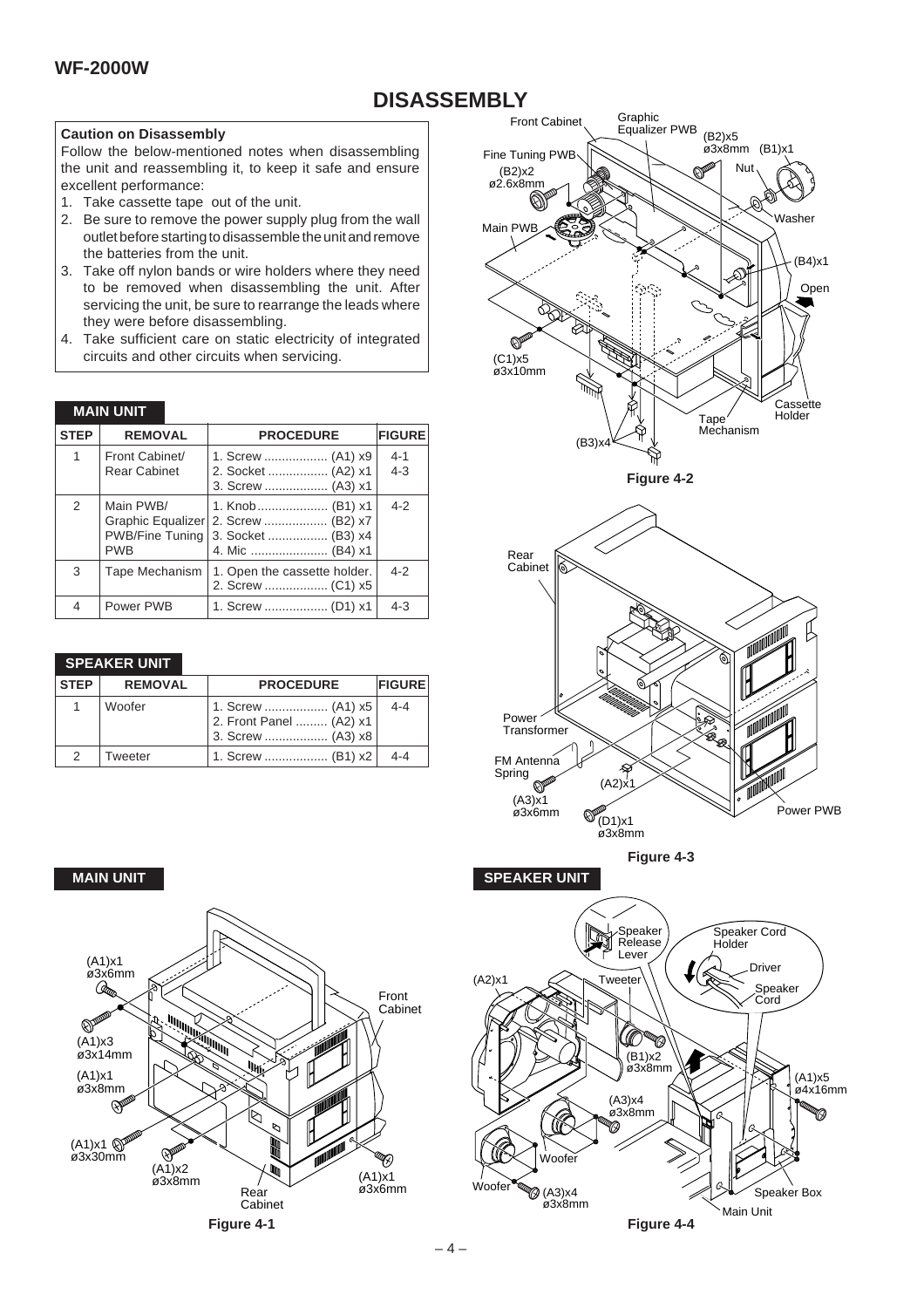# **DISASSEMBLY**

#### **Caution on Disassembly**

Follow the below-mentioned notes when disassembling the unit and reassembling it, to keep it safe and ensure excellent performance:

- 1. Take cassette tape out of the unit.
- 2. Be sure to remove the power supply plug from the wall outlet before starting to disassemble the unit and remove the batteries from the unit.
- 3. Take off nylon bands or wire holders where they need to be removed when disassembling the unit. After servicing the unit, be sure to rearrange the leads where they were before disassembling.
- 4. Take sufficient care on static electricity of integrated circuits and other circuits when servicing.

#### **MAIN UNIT**

| <b>STEP</b> | <b>REMOVAL</b>                                                         | <b>PROCEDURE</b>                                             | <b>FIGURE</b>      |
|-------------|------------------------------------------------------------------------|--------------------------------------------------------------|--------------------|
| 1           | Front Cabinet/<br><b>Rear Cabinet</b>                                  | 1. Screw  (A1) x9<br>2. Socket  (A2) x1<br>3. Screw  (A3) x1 | $4 - 1$<br>$4 - 3$ |
| 2           | Main PWB/<br>Graphic Equalizer<br><b>PWB/Fine Tuning</b><br><b>PWB</b> | 1. Knob  (B1) x1<br>2. Screw  (B2) x7<br>3. Socket  (B3) x4  | $4 - 2$            |
| 3           | Tape Mechanism                                                         | 1. Open the cassette holder.                                 | $4 - 2$            |
| 4           | Power PWB                                                              |                                                              | $4 - 3$            |

#### **SPEAKER UNIT**

| <b>STEP</b>   | <b>REMOVAL</b> | <b>PROCEDURE</b>                                                  | <b>FIGURE</b> |
|---------------|----------------|-------------------------------------------------------------------|---------------|
|               | Woofer         | 1. Screw  (A1) x5<br>2. Front Panel  (A2) x1<br>3. Screw  (A3) x8 | $4 - 4$       |
| $\mathcal{P}$ | Tweeter        | 1. Screw  (B1) x2                                                 | $4 - 4$       |



**Figure 4-4**

Main Unit

Speaker Box

Woofe

(A3)x4 ø3x8mm



**Figure 4-1**

 $W$ oofe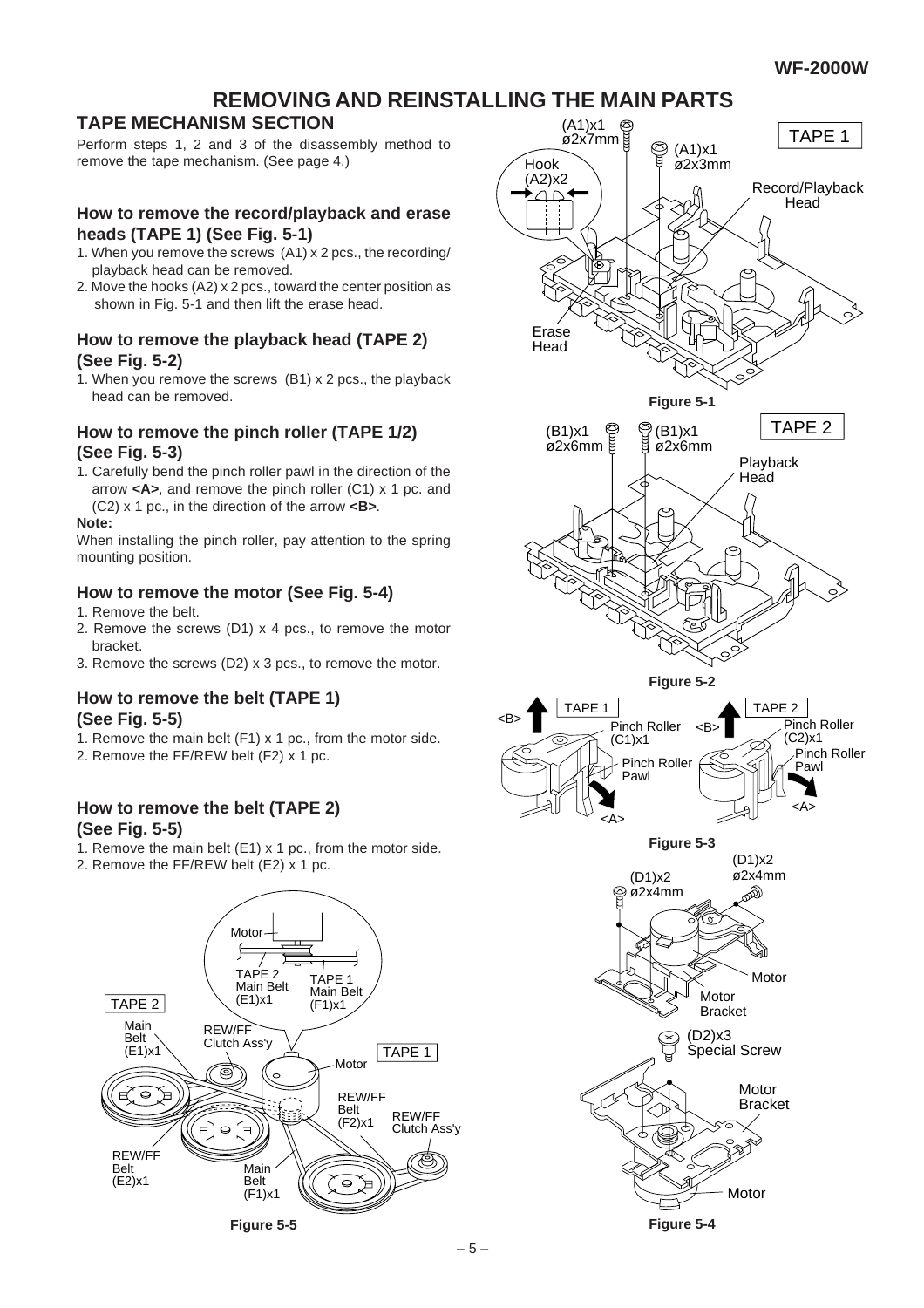# **REMOVING AND REINSTALLING THE MAIN PARTS**

## **TAPE MECHANISM SECTION**

Perform steps 1, 2 and 3 of the disassembly method to remove the tape mechanism. (See page 4.)

#### **How to remove the record/playback and erase heads (TAPE 1) (See Fig. 5-1)**

- 1. When you remove the screws (A1) x 2 pcs., the recording/ playback head can be removed.
- 2. Move the hooks (A2) x 2 pcs., toward the center position as shown in Fig. 5-1 and then lift the erase head.

#### **How to remove the playback head (TAPE 2) (See Fig. 5-2)**

1. When you remove the screws (B1) x 2 pcs., the playback head can be removed.

#### **How to remove the pinch roller (TAPE 1/2) (See Fig. 5-3)**

1. Carefully bend the pinch roller pawl in the direction of the arrow **<A>**, and remove the pinch roller (C1) x 1 pc. and (C2) x 1 pc., in the direction of the arrow **<B>**.

#### **Note:**

When installing the pinch roller, pay attention to the spring mounting position.

#### **How to remove the motor (See Fig. 5-4)**

- 1. Remove the belt.
- 2. Remove the screws (D1) x 4 pcs., to remove the motor bracket.
- 3. Remove the screws (D2) x 3 pcs., to remove the motor.

#### **How to remove the belt (TAPE 1) (See Fig. 5-5)**

- 1. Remove the main belt (F1) x 1 pc., from the motor side.
- 2. Remove the FF/REW belt (F2) x 1 pc.

#### **How to remove the belt (TAPE 2) (See Fig. 5-5)**

- 1. Remove the main belt (E1) x 1 pc., from the motor side.
- 2. Remove the FF/REW belt (E2) x 1 pc.



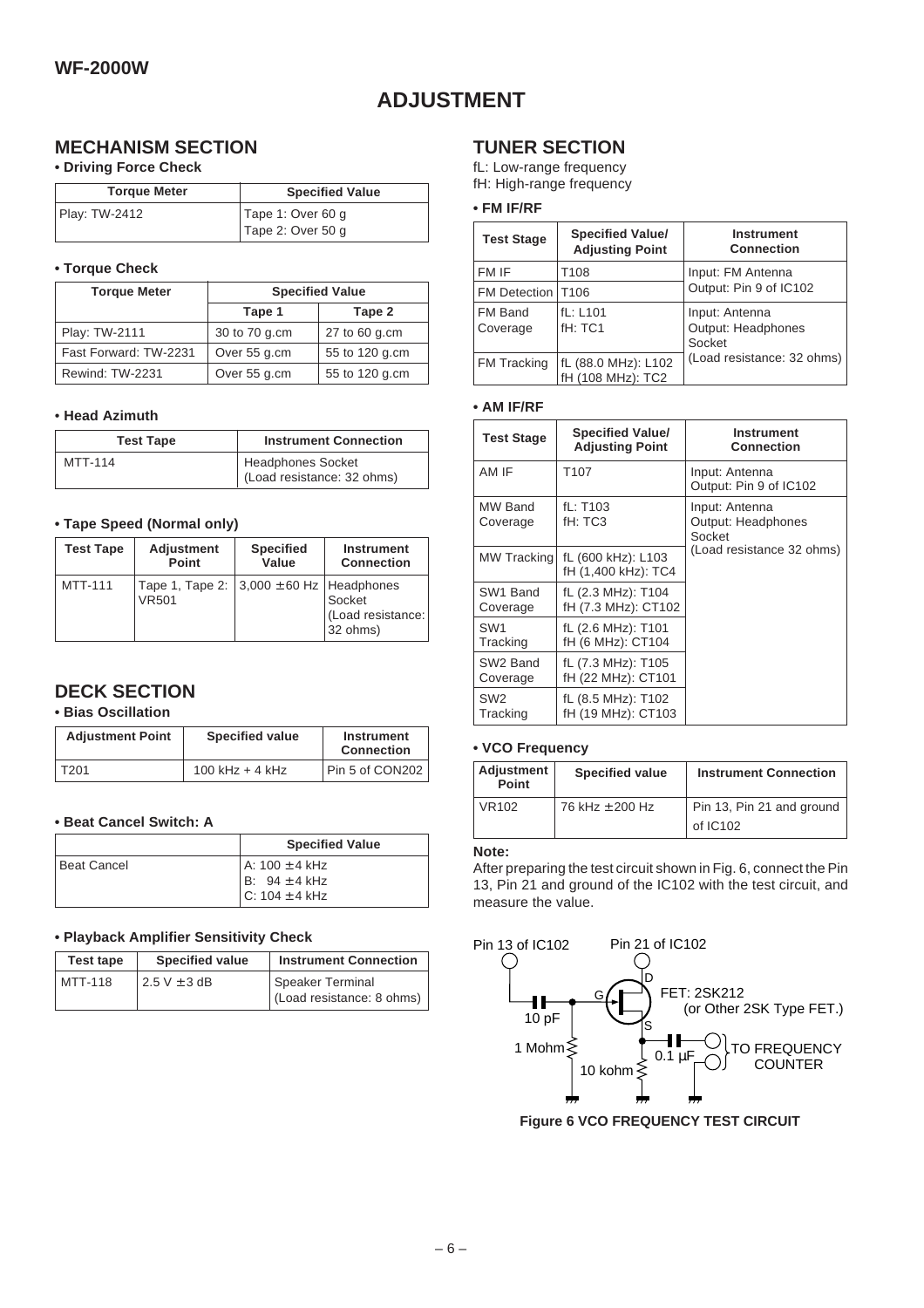# **ADJUSTMENT**

## **MECHANISM SECTION**

#### **• Driving Force Check**

| <b>Torque Meter</b> | <b>Specified Value</b> |
|---------------------|------------------------|
| Play: TW-2412       | Tape 1: Over 60 g      |
|                     | Tape 2: Over 50 g      |

#### **• Torque Check**

| <b>Torque Meter</b>   | <b>Specified Value</b> |                |
|-----------------------|------------------------|----------------|
|                       | Tape 1                 | Tape 2         |
| Play: TW-2111         | 30 to 70 g.cm          | 27 to 60 g.cm  |
| Fast Forward: TW-2231 | Over 55 g.cm           | 55 to 120 g.cm |
| Rewind: TW-2231       | Over 55 g.cm           | 55 to 120 g.cm |

#### • **Head Azimuth**

| <b>Test Tape</b> | <b>Instrument Connection</b>                    |
|------------------|-------------------------------------------------|
| <b>MTT-114</b>   | Headphones Socket<br>(Load resistance: 32 ohms) |

#### **• Tape Speed (Normal only)**

| <b>Test Tape</b> | <b>Adjustment</b>                                             | <b>Specified</b> | <b>Instrument</b>                       |
|------------------|---------------------------------------------------------------|------------------|-----------------------------------------|
|                  | Point                                                         | Value            | <b>Connection</b>                       |
| MTT-111          | Tape 1, Tape 2: $ 3,000 \pm 60$ Hz Headphones<br><b>VR501</b> |                  | Socket<br>(Load resistance:<br>32 ohms) |

### **DECK SECTION**

#### **• Bias Oscillation**

| <b>Adjustment Point</b> | <b>Specified value</b> | <b>Instrument</b><br><b>Connection</b> |
|-------------------------|------------------------|----------------------------------------|
| T201                    | 100 kHz $+$ 4 kHz      | Pin 5 of CON202                        |

#### **• Beat Cancel Switch: A**

|               | <b>Specified Value</b>                                      |
|---------------|-------------------------------------------------------------|
| l Beat Cancel | l A: 100 ± 4 kHz<br>$B: 94 \pm 4$ kHz<br>$C: 104 \pm 4$ kHz |

#### **• Playback Amplifier Sensitivity Check**

| Test tape | <b>Specified value</b> | <b>Instrument Connection</b> |
|-----------|------------------------|------------------------------|
| MTT-118   | $2.5$ V $\pm$ 3 dB     | Speaker Terminal             |
|           |                        | (Load resistance: 8 ohms)    |

### **TUNER SECTION**

fL: Low-range frequency fH: High-range frequency

#### **• FM IF/RF**

| <b>Test Stage</b>  | <b>Specified Value/</b><br><b>Adjusting Point</b> | <b>Instrument</b><br><b>Connection</b> |
|--------------------|---------------------------------------------------|----------------------------------------|
| FM IF              | T108                                              | Input: FM Antenna                      |
| FM Detection 17106 |                                                   | Output: Pin 9 of IC102                 |
| FM Band            | fL: L101                                          | Input: Antenna                         |
| Coverage           | fH: TC1                                           | Output: Headphones                     |
|                    |                                                   | Socket                                 |
| FM Tracking        | fL (88.0 MHz): L102                               | (Load resistance: 32 ohms)             |
|                    | fH (108 MHz): TC2                                 |                                        |

#### **• AM IF/RF**

| <b>Test Stage</b>           | <b>Specified Value/</b><br><b>Adjusting Point</b> | <b>Instrument</b><br><b>Connection</b>         |  |  |  |
|-----------------------------|---------------------------------------------------|------------------------------------------------|--|--|--|
| AM IF                       | T <sub>107</sub>                                  | Input: Antenna<br>Output: Pin 9 of IC102       |  |  |  |
| MW Band<br>Coverage         | fL: T103<br>fH: TC3                               | Input: Antenna<br>Output: Headphones<br>Socket |  |  |  |
| MW Tracking                 | fL (600 kHz): L103<br>fH (1,400 kHz): TC4         | (Load resistance 32 ohms)                      |  |  |  |
| SW1 Band<br>Coverage        | fL (2.3 MHz): T104<br>fH (7.3 MHz): CT102         |                                                |  |  |  |
| SW <sub>1</sub><br>Tracking | fL (2.6 MHz): T101<br>fH (6 MHz): CT104           |                                                |  |  |  |
| SW2 Band<br>Coverage        | fL (7.3 MHz): T105<br>fH (22 MHz): CT101          |                                                |  |  |  |
| SW <sub>2</sub><br>Tracking | fL (8.5 MHz): T102<br>fH (19 MHz): CT103          |                                                |  |  |  |

#### **• VCO Frequency**

| Adjustment<br>Point | <b>Specified value</b> | <b>Instrument Connection</b>            |  |  |  |  |  |
|---------------------|------------------------|-----------------------------------------|--|--|--|--|--|
| VR <sub>102</sub>   | 76 kHz ± 200 Hz        | Pin 13, Pin 21 and ground<br>of $IC102$ |  |  |  |  |  |

#### **Note:**

After preparing the test circuit shown in Fig. 6, connect the Pin 13, Pin 21 and ground of the IC102 with the test circuit, and measure the value.



**Figure 6 VCO FREQUENCY TEST CIRCUIT**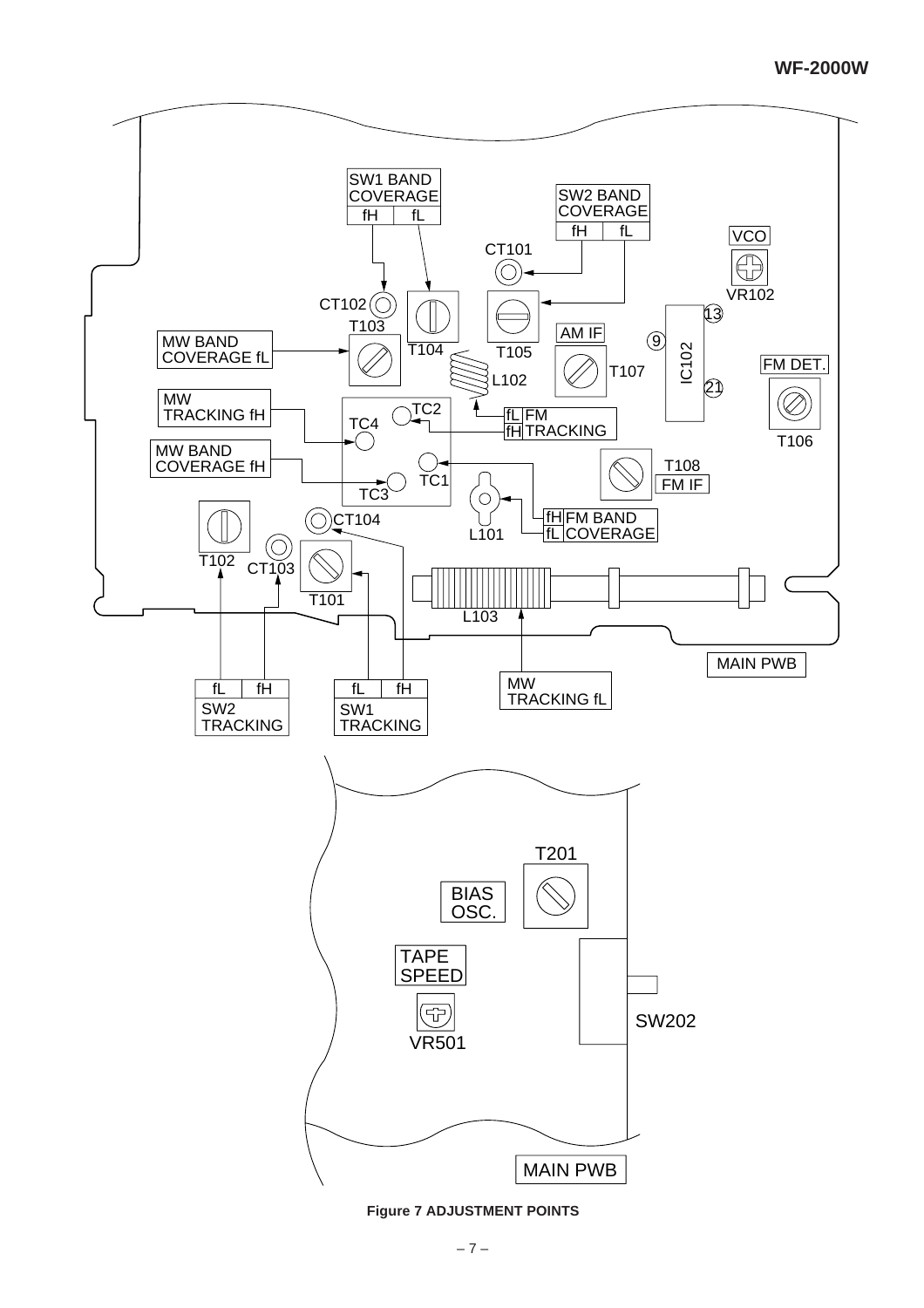

**Figure 7 ADJUSTMENT POINTS**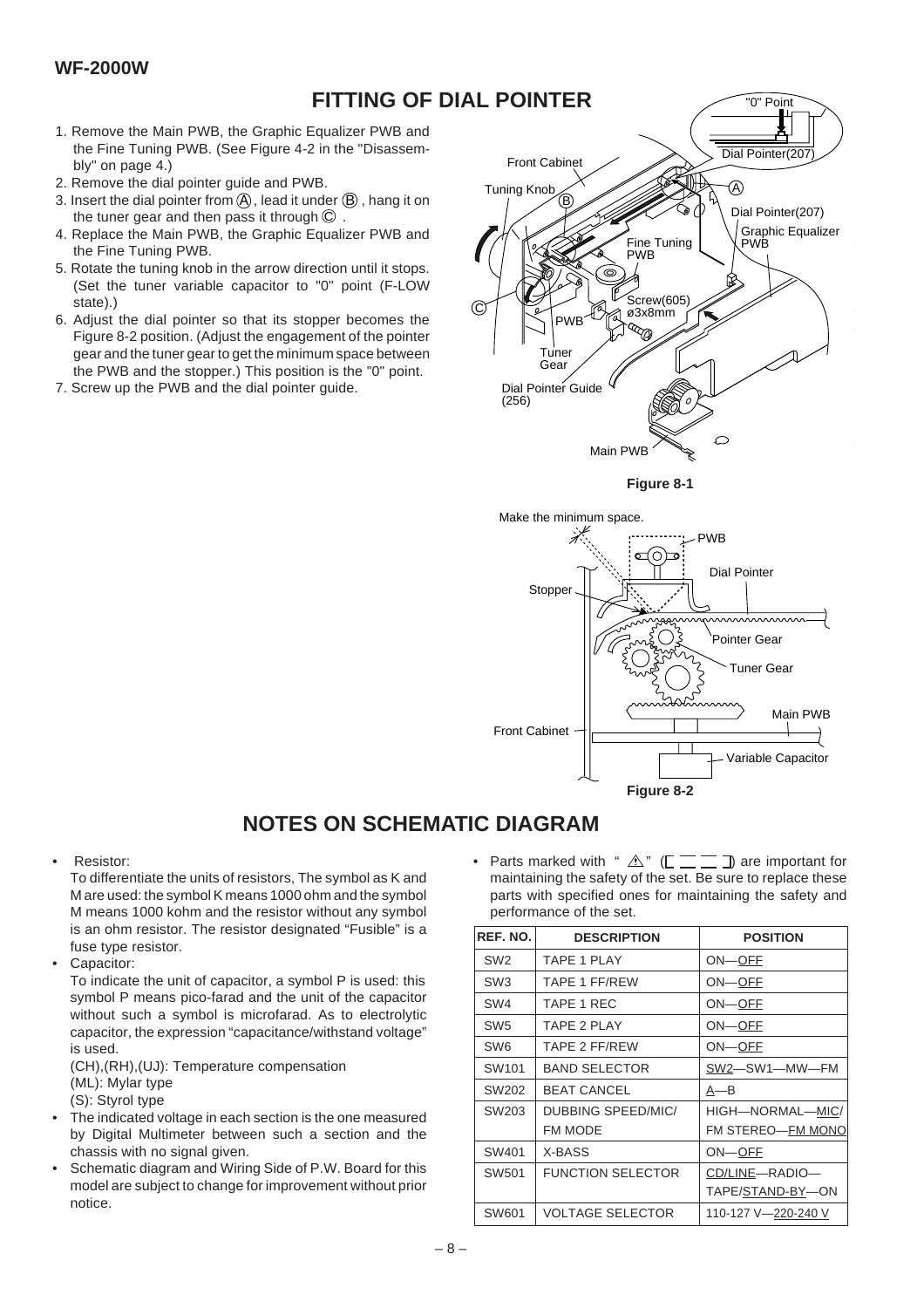# **FITTING OF DIAL POINTER**

- 1. Remove the Main PWB, the Graphic Equalizer PWB and the Fine Tuning PWB. (See Figure 4-2 in the "Disassembly" on page 4.)
- 2. Remove the dial pointer guide and PWB.
- 3. Insert the dial pointer from  $\left( \mathsf{A}\right)$  , lead it under  $\left( \mathsf{B}\right)$  , hang it on the tuner gear and then pass it through  $\mathbb C$  .
- 4. Replace the Main PWB, the Graphic Equalizer PWB and the Fine Tuning PWB.
- 5. Rotate the tuning knob in the arrow direction until it stops. (Set the tuner variable capacitor to "0" point (F-LOW state).)
- 6. Adjust the dial pointer so that its stopper becomes the Figure 8-2 position. (Adjust the engagement of the pointer gear and the tuner gear to get the minimum space between the PWB and the stopper.) This position is the "0" point.
- 7. Screw up the PWB and the dial pointer guide.







# **NOTES ON SCHEMATIC DIAGRAM**

• Resistor:

To differentiate the units of resistors, The symbol as K and M are used: the symbol K means 1000 ohm and the symbol M means 1000 kohm and the resistor without any symbol is an ohm resistor. The resistor designated "Fusible" is a fuse type resistor.

Capacitor:

To indicate the unit of capacitor, a symbol P is used: this symbol P means pico-farad and the unit of the capacitor without such a symbol is microfarad. As to electrolytic capacitor, the expression "capacitance/withstand voltage" is used.

(CH),(RH),(UJ): Temperature compensation (ML): Mylar type (S): Styrol type

- The indicated voltage in each section is the one measured by Digital Multimeter between such a section and the chassis with no signal given.
- Schematic diagram and Wiring Side of P.W. Board for this model are subject to change for improvement without prior notice.

Parts marked with "  $\mathbb{A}$ " ( $\mathbb{L} \equiv \mathbb{Z}$  ) are important for maintaining the safety of the set. Be sure to replace these parts with specified ones for maintaining the safety and performance of the set.

| REF. NO.          | <b>DESCRIPTION</b>       | <b>POSITION</b>     |  |  |  |  |  |
|-------------------|--------------------------|---------------------|--|--|--|--|--|
| SW <sub>2</sub>   | TAPF 1 PI AY             | ON-OFF              |  |  |  |  |  |
| SW <sub>3</sub>   | <b>TAPE 1 FF/REW</b>     | ON-OFF              |  |  |  |  |  |
| SW <sub>4</sub>   | TAPE 1 REC               | ON-OFF              |  |  |  |  |  |
| SW <sub>5</sub>   | TAPE 2 PLAY              | ON-OFF              |  |  |  |  |  |
| SW6               | <b>TAPE 2 FF/REW</b>     | ON-OFF              |  |  |  |  |  |
| SW <sub>101</sub> | <b>BAND SELECTOR</b>     | SW2-SW1-MW-FM       |  |  |  |  |  |
| SW202             | <b>BEAT CANCEL</b>       | A—B                 |  |  |  |  |  |
| SW203             | DUBBING SPEED/MIC/       | HIGH-NORMAL-MIC/    |  |  |  |  |  |
|                   | <b>FM MODE</b>           | FM STEREO-FM MONO   |  |  |  |  |  |
| SW401             | X-BASS                   | ON-OFF              |  |  |  |  |  |
| SW501             | <b>FUNCTION SELECTOR</b> | CD/LINE-RADIO-      |  |  |  |  |  |
|                   |                          | TAPE/STAND-BY-ON    |  |  |  |  |  |
| SW601             | <b>VOLTAGE SELECTOR</b>  | 110-127 V-220-240 V |  |  |  |  |  |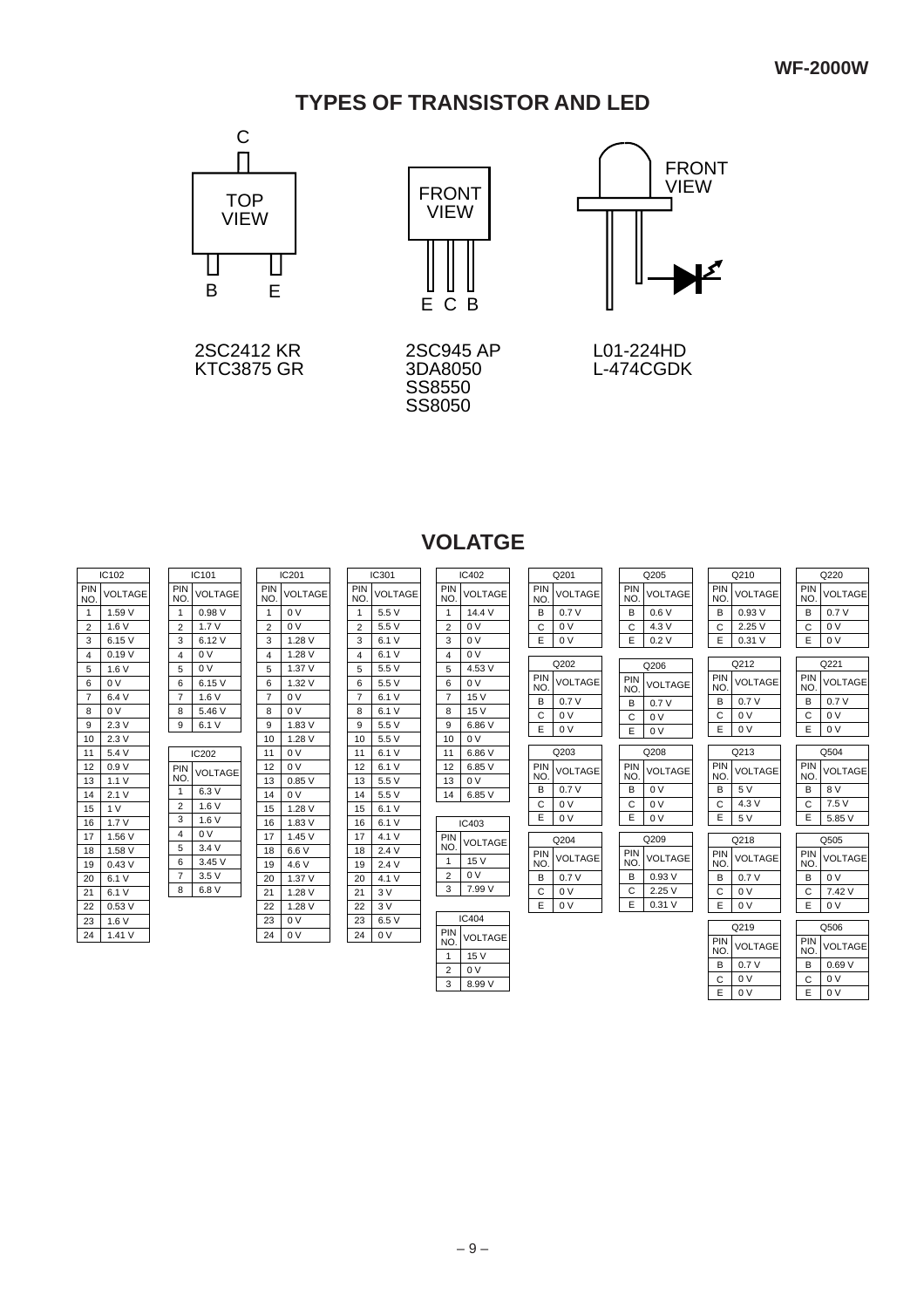# **TYPES OF TRANSISTOR AND LED**



2SC2412 KR KTC3875 GR



2SC945 AP 3DA8050 SS8550 SS8050



L01-224HD L-474CGDK

0 V E

0 V E

# **VOLATGE**

|                   | IC102           | IC101 |                       |                | IC201                 |                | IC301          |                | IC402          |                | Q201                         |                | Q205       |                | Q210              |                | Q220       |                |
|-------------------|-----------------|-------|-----------------------|----------------|-----------------------|----------------|----------------|----------------|----------------|----------------|------------------------------|----------------|------------|----------------|-------------------|----------------|------------|----------------|
| <b>PIN</b><br>NO. | <b>VOLTAGE</b>  |       | PIN<br>N <sub>O</sub> | VOLTAGE        | PIN<br>N <sub>O</sub> | VOLTAGE        | PIN<br>NO.     | <b>VOLTAGE</b> | PIN<br>NO.     | <b>VOLTAGE</b> | PIN<br>NO.                   | VOLTAGE        | PIN<br>NO. | <b>VOLTAGE</b> | PIN<br>NO.        | <b>VOLTAGE</b> | PIN<br>NO. | <b>VOLTAGE</b> |
| $\mathbf{1}$      | 1.59 V          |       | $\overline{1}$        | 0.98V          | -1                    | 0 <sub>V</sub> | $\overline{1}$ | 5.5 V          | $\overline{1}$ | 14.4 V         | В                            | 0.7V           | B          | 0.6V           | B                 | 0.93V          | B          | 0.7V           |
| 2                 | 1.6V            |       | $\overline{2}$        | 1.7V           | 2                     | 0 V            | 2              | 5.5V           | $\overline{2}$ | 0 <sup>V</sup> | C                            | 0 <sup>V</sup> | C          | 4.3 V          | C                 | 2.25V          | C          | 0 <sup>V</sup> |
| 3                 | 6.15 V          |       | 3                     | 6.12 V         | 3                     | 1.28V          | 3              | 6.1 V          | 3              | 0 <sup>V</sup> | E                            | 0 <sup>V</sup> | Ε          | 0.2V           | E                 | 0.31V          | Е          | 0 <sup>V</sup> |
| $\overline{4}$    | 0.19V           |       | $\overline{4}$        | 0 V            | 4                     | 1.28V          | $\overline{4}$ | 6.1V           | $\overline{4}$ | 0 <sup>V</sup> |                              |                |            |                |                   |                |            |                |
| 5                 | 1.6V            |       | 5                     | 0 <sup>V</sup> | 5                     | 1.37 V         | 5              | 5.5V           | 5              | 4.53 V         |                              | Q202           |            | Q206           |                   | Q212           |            | Q221           |
| 6                 | 0 <sup>V</sup>  |       | 6                     | 6.15V          | 6                     | 1.32V          | 6              | 5.5 V          | 6              | 0 V            | PIN<br>NO.                   | VOLTAGE        | PIN<br>NO. | <b>VOLTAGE</b> | PIN<br>NO.        | <b>VOLTAGE</b> | PIN<br>NO. | <b>VOLTAGE</b> |
| $\overline{7}$    | 6.4V            |       | $\overline{7}$        | 1.6V           | $\overline{7}$        | 0 <sub>V</sub> | $\overline{7}$ | 6.1 V          | $\overline{7}$ | 15 V           | в                            | 0.7V           | B          | 0.7V           | B                 | 0.7V           | в          | 0.7V           |
| 8                 | 0 <sub>V</sub>  |       | 8                     | 5.46 V         | 8                     | 0 <sub>V</sub> | 8              | 6.1 V          | 8              | 15 V           | C                            | 0 <sup>V</sup> | C          | 0 <sup>V</sup> | C                 | 0 <sup>V</sup> | C          | 0V             |
| 9                 | 2.3V            |       | 9                     | 6.1 V          | 9                     | 1.83V          | 9              | 5.5V           | 9              | 6.86 V         | E                            | 0 <sup>V</sup> | Ε          | 0 V            | Ε                 | 0 <sup>V</sup> | Е          | 0 <sup>V</sup> |
| 10                | 2.3V            |       |                       |                | 10                    | 1.28V          | 10             | 5.5V           | 10             | 0 <sup>V</sup> |                              |                |            |                |                   |                |            |                |
| 11                | 5.4 V           |       |                       | IC202          | 11                    | 0 <sub>V</sub> | 11             | 6.1V           | 11             | 6.86 V         |                              | Q203           |            | Q208           |                   | Q213           |            | Q504           |
| 12                | 0.9V            |       | PIN<br>N <sub>O</sub> | <b>VOLTAGE</b> | 12                    | 0 <sub>V</sub> | 12             | 6.1 V          | 12             | 6.85 V         | <b>PIN</b><br>N <sub>O</sub> | VOLTAGE        | PIN<br>NO. | <b>VOLTAGE</b> | <b>PIN</b><br>NO. | <b>VOLTAGE</b> | PIN<br>NO. | <b>VOLTAGE</b> |
| 13                | 1.1V            |       | $\mathbf{1}$          | 6.3V           | 13                    | 0.85V          | 13             | 5.5 V          | 13             | 0 <sup>V</sup> | В                            | 0.7V           | B          | 0 <sup>V</sup> | B                 | 5 V            | в          | 8 V            |
| 14                | 2.1V            |       | $\overline{2}$        |                | 14                    | 0 <sub>V</sub> | 14             | 5.5V           | 14             | 6.85 V         | C                            | 0 <sub>V</sub> | C          | 0 <sup>V</sup> | C                 | 4.3V           | C          | 7.5V           |
| 15                | 1 V             |       | 3                     | 1.6V<br>1.6V   | 15                    | 1.28V          | 15             | 6.1V           |                |                | Ε                            | 0 <sup>V</sup> | Ε          | 0 <sub>V</sub> | Е                 | 5 V            | E.         | 5.85 V         |
| 16                | 1.7V            |       |                       | 0 <sup>V</sup> | 16                    | 1.83V          | 16             | 6.1V           |                | IC403          |                              |                |            |                |                   |                |            |                |
| 17                | 1.56 V          |       | $\overline{4}$        | 3.4V           | 17                    | 1.45 V         | 17             | 4.1V           | PIN<br>NO.     | <b>VOLTAGE</b> |                              | Q204           |            | Q209           |                   | Q218           |            | Q505           |
| 18<br>19          | 1.58 V<br>0.43V |       | 5<br>6                | 3.45V          | 18<br>19              | 6.6 V<br>4.6 V | 18<br>19       | 2.4V<br>2.4V   | $\overline{1}$ | 15 V           | PIN<br>N <sub>O</sub>        | VOLTAGE        | PIN<br>NO. | <b>VOLTAGE</b> | PIN<br>NO.        | <b>VOLTAGE</b> | PIN<br>NO. | <b>VOLTAGE</b> |
| 20                | 6.1 V           |       | $\overline{7}$        | 3.5V           | 20                    | 1.37V          | 20             | 4.1V           | $\overline{2}$ | 0 V            | В                            | 0.7V           | B          | 0.93V          | B                 | 0.7V           | в          | 0V             |
| 21                | 6.1 V           |       | 8                     | 6.8 V          | 21                    | 1.28 V         | 21             | 3V             | 3              | 7.99 V         | C                            | 0 <sup>V</sup> | C          | 2.25V          | C                 | 0 V            | C          | 7.42 V         |
| 22                | 0.53V           |       |                       |                | 22                    | 1.28 V         | 22             | 3V             |                |                | Ε                            | 0 <sup>V</sup> | Ε          | 0.31V          | Ε                 | 0 V            | E.         | 0 <sup>V</sup> |
| 23                | 1.6V            |       |                       |                | 23                    | 0 <sub>V</sub> | 23             | 6.5 V          |                | <b>IC404</b>   |                              |                |            |                |                   |                |            |                |
| 24                | 1.41V           |       |                       |                | 24                    | 0V             | 24             | 0 V            | PIN            |                |                              |                |            |                |                   | Q219           |            | Q506           |
|                   |                 |       |                       |                |                       |                |                |                | NO.            | <b>VOLTAGE</b> |                              |                |            |                | PIN<br>NO.        | <b>VOLTAGE</b> | PIN<br>NO. | <b>VOLTAGE</b> |
|                   |                 |       |                       |                |                       |                |                |                | $\mathbf{1}$   | 15V            |                              |                |            |                | B                 | 0.7V           | в          | 0.69V          |
|                   |                 |       |                       |                |                       |                |                |                | $\overline{2}$ | 0 V            |                              |                |            |                | C                 | 0 V            | С          | 0 <sup>V</sup> |
|                   |                 |       |                       |                |                       |                |                |                | 3              | 8.99 V         |                              |                |            |                |                   |                |            |                |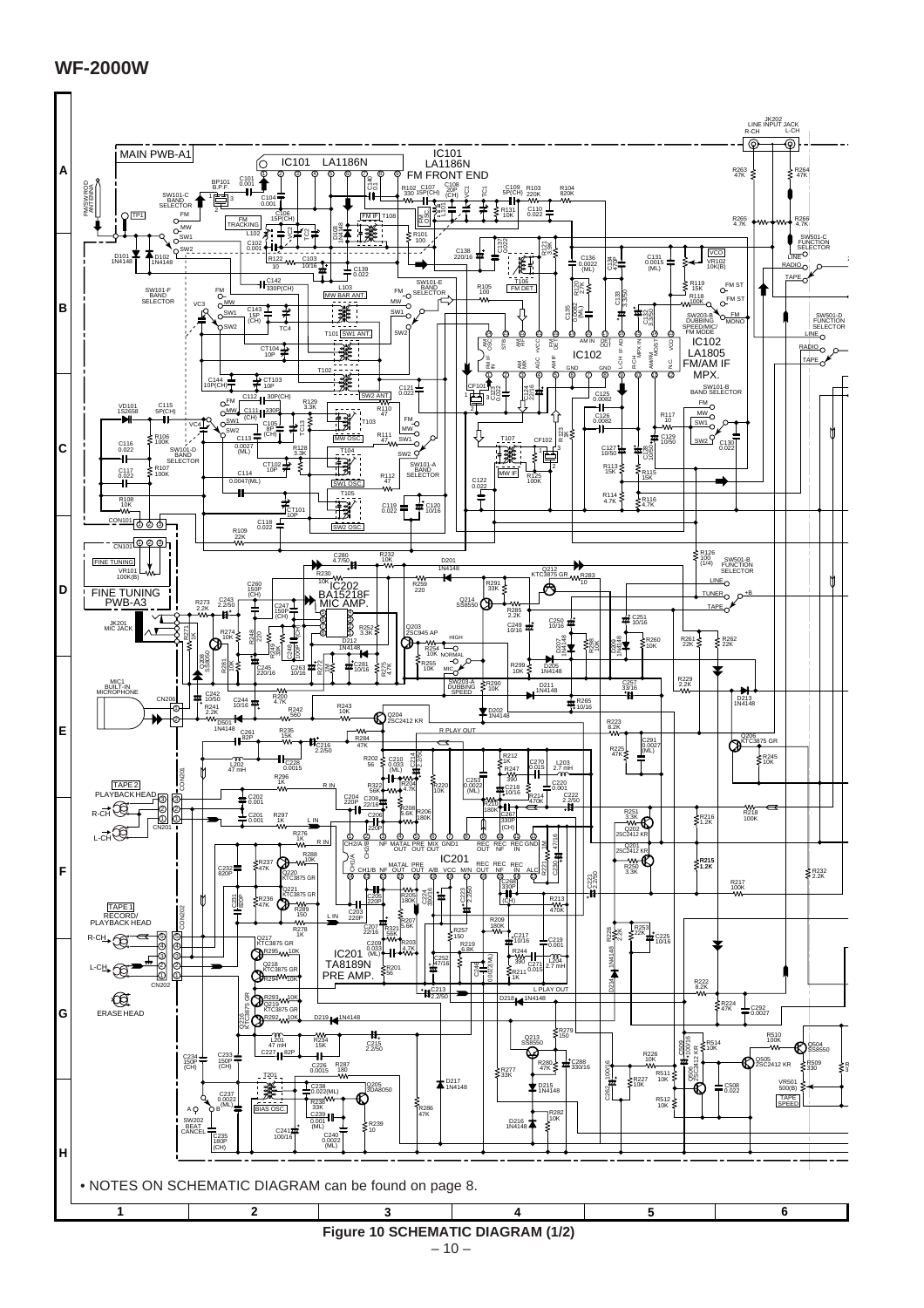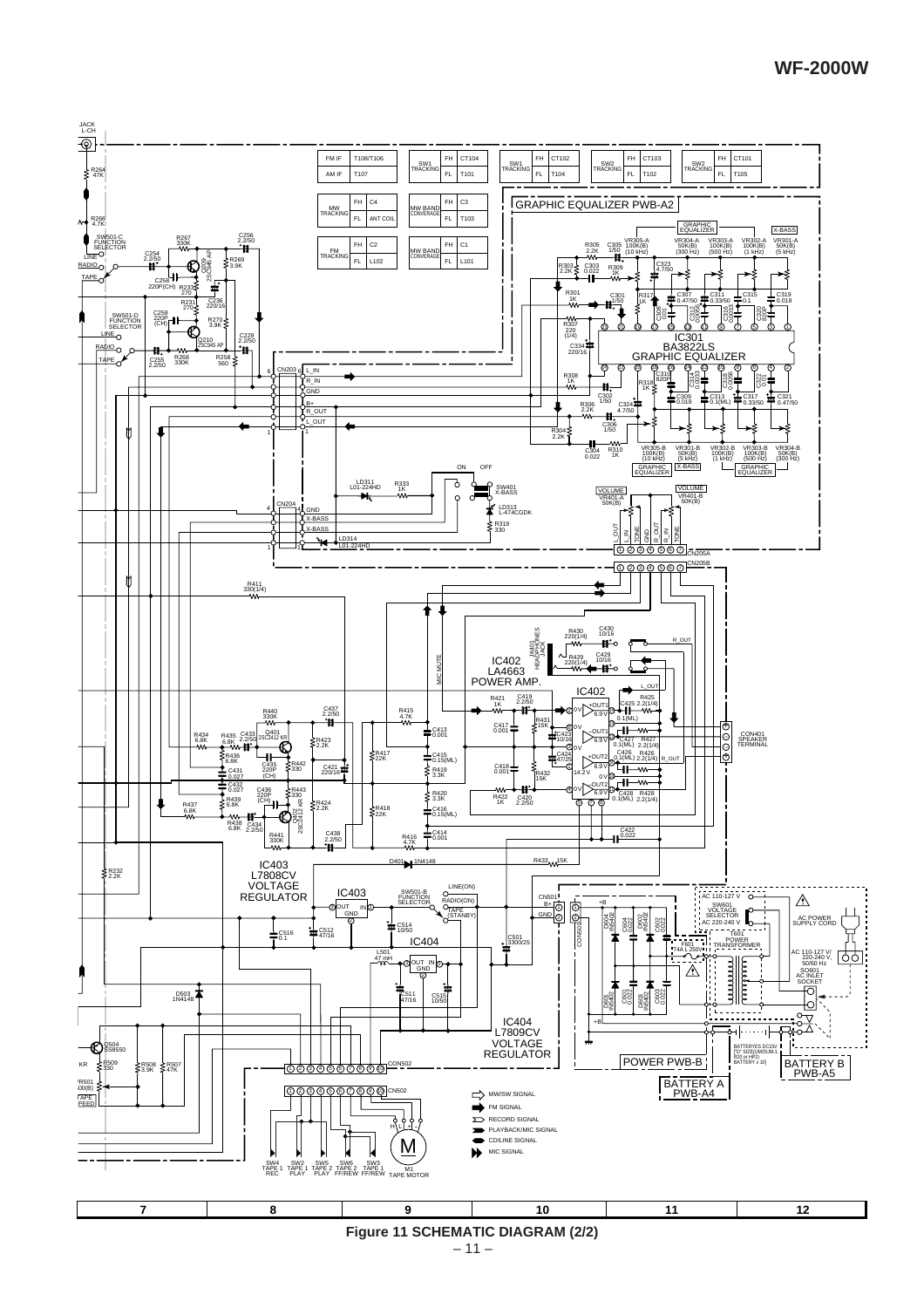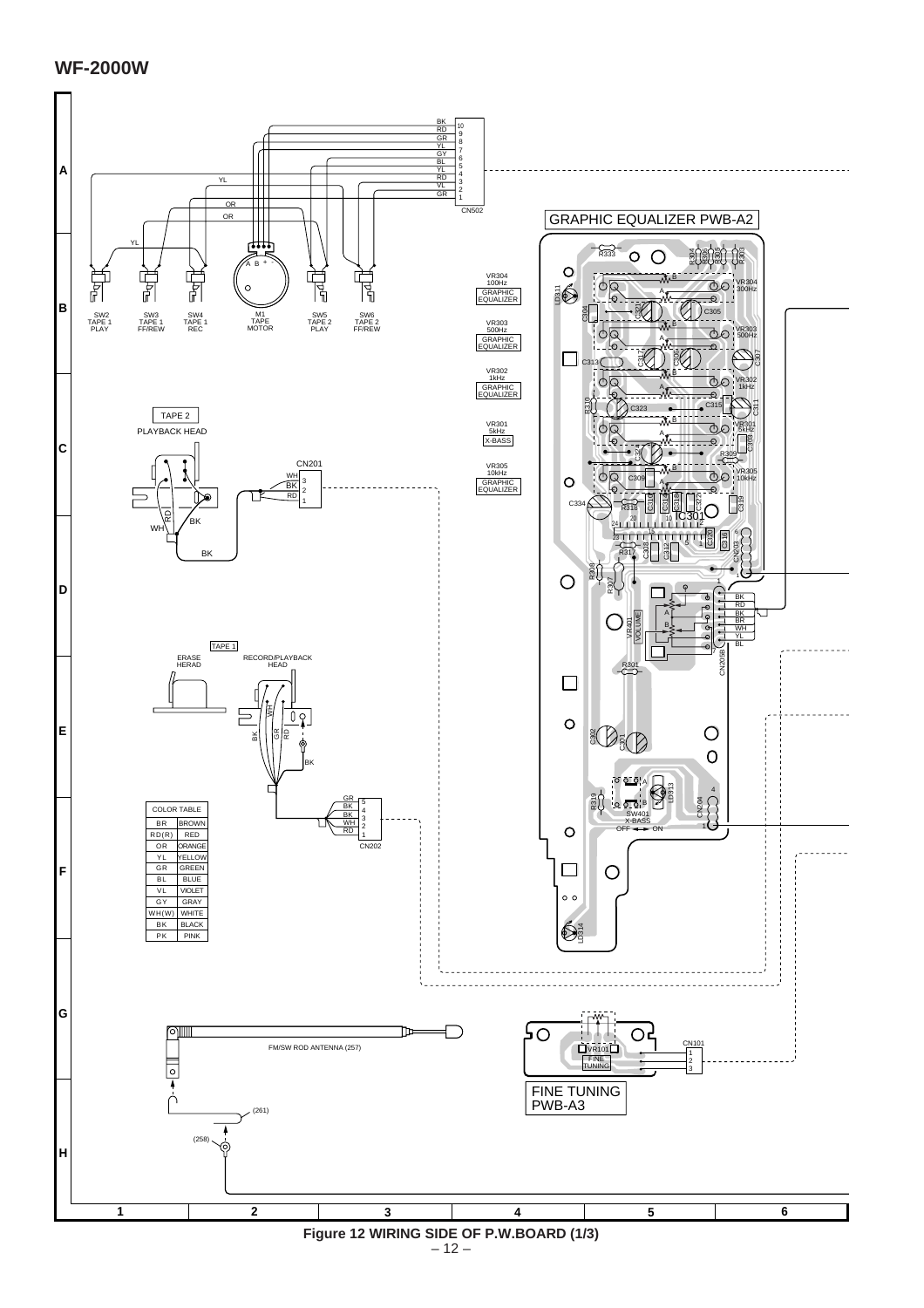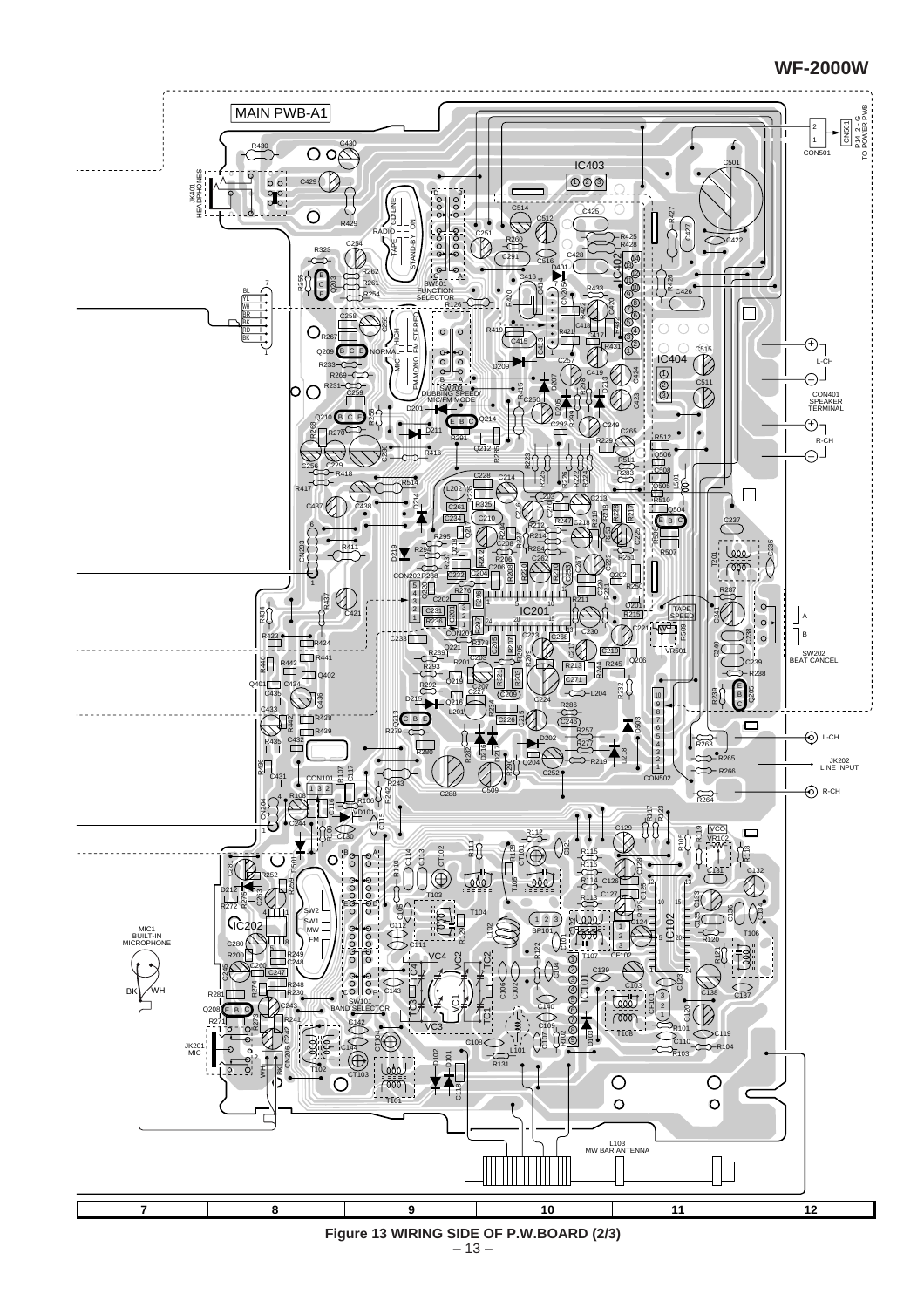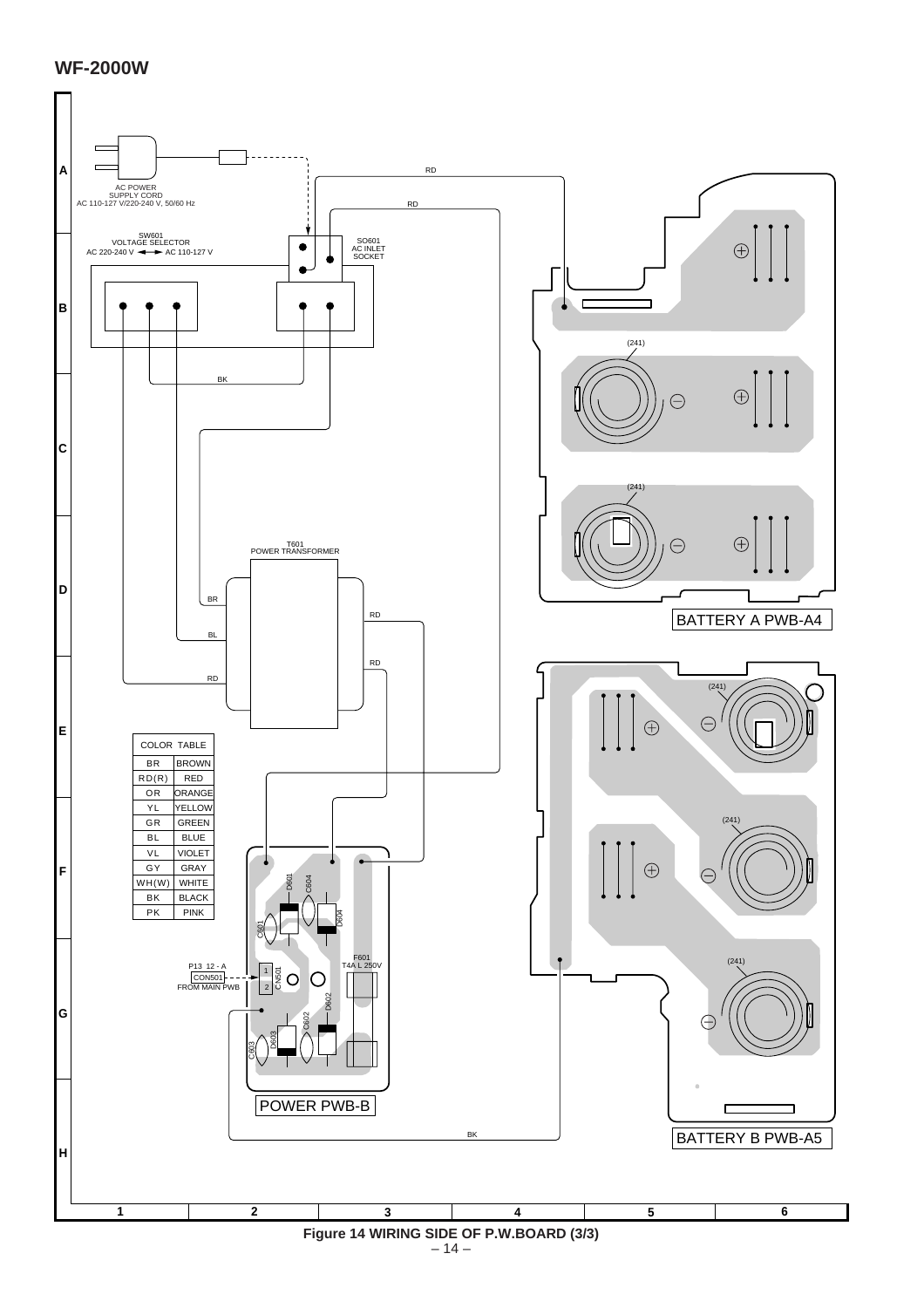

 $-14-$ **Figure 14 WIRING SIDE OF P.W.BOARD (3/3)**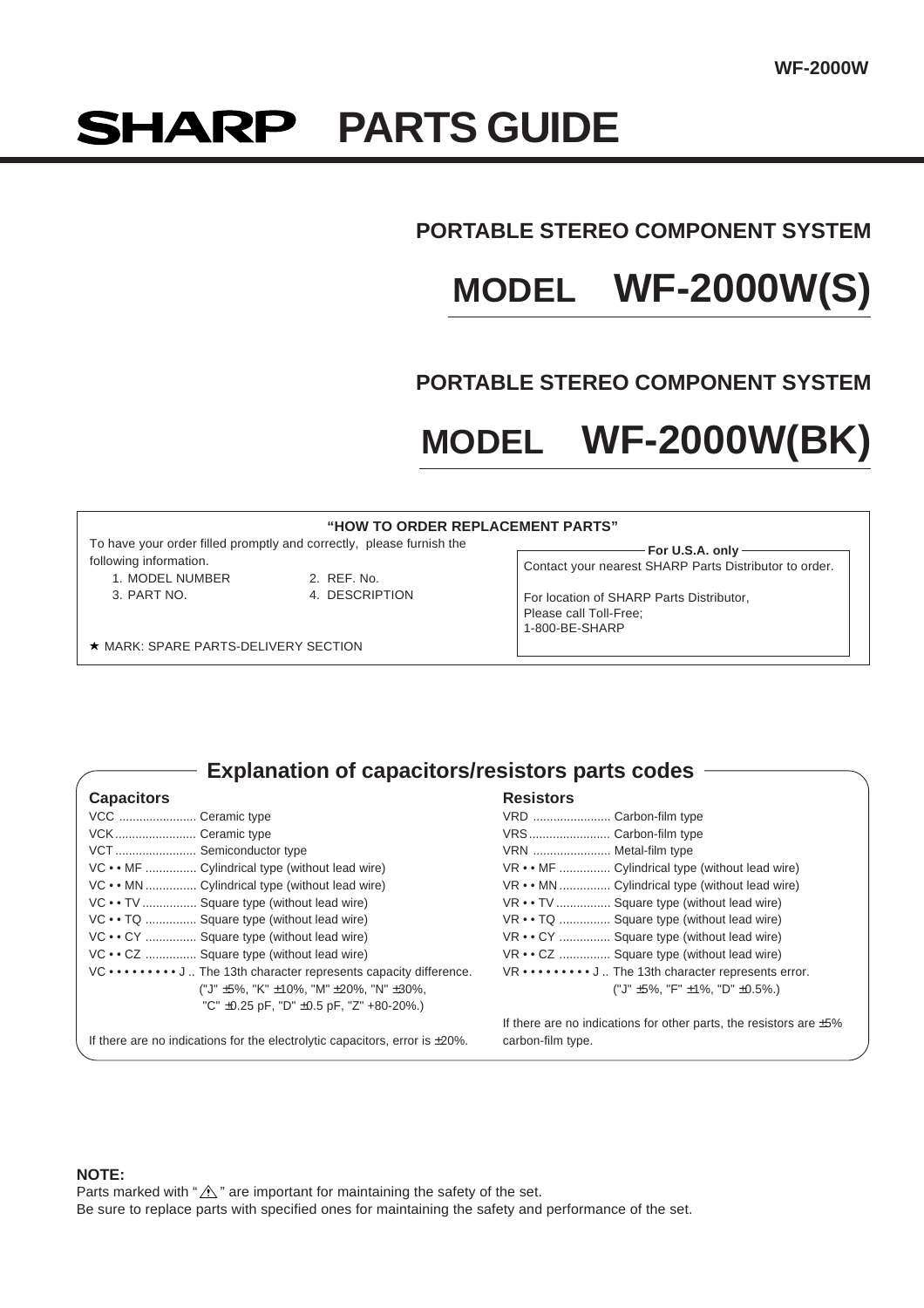# **SHARP PARTS GUIDE**

# **PORTABLE STEREO COMPONENT SYSTEM**

# **MODEL WF-2000W(S)**

# **PORTABLE STEREO COMPONENT SYSTEM**

# **MODEL WF-2000W(BK)**

1-800-BE-SHARP

#### **"HOW TO ORDER REPLACEMENT PARTS"**

To have your order filled promptly and correctly, please furnish the following information.

- 1. MODEL NUMBER 2. REF. No.
	-
- 3. PART NO. 4. DESCRIPTION

**For U.S.A. only** Contact your nearest SHARP Parts Distributor to order. For location of SHARP Parts Distributor, Please call Toll-Free;

**\* MARK: SPARE PARTS-DELIVERY SECTION** 

**Explanation of capacitors/resistors parts codes**

| <b>Capacitors</b>                                                                  | <b>Resistors</b>                                                         |
|------------------------------------------------------------------------------------|--------------------------------------------------------------------------|
| VCC  Ceramic type                                                                  | VRD  Carbon-film type                                                    |
| VCK Ceramic type                                                                   | VRS Carbon-film type                                                     |
| VCT Semiconductor type                                                             | VRN  Metal-film type                                                     |
| VC • • MF  Cylindrical type (without lead wire)                                    | VR • • MF  Cylindrical type (without lead wire)                          |
| VC • • MN  Cylindrical type (without lead wire)                                    | VR • • MN  Cylindrical type (without lead wire)                          |
| VC • • TV  Square type (without lead wire)                                         | VR • • TV  Square type (without lead wire)                               |
| VC • • TQ  Square type (without lead wire)                                         | VR • • TQ  Square type (without lead wire)                               |
| VC • • CY  Square type (without lead wire)                                         | VR • • CY  Square type (without lead wire)                               |
| VC • • CZ  Square type (without lead wire)                                         | VR • • CZ  Square type (without lead wire)                               |
| VC ••••••••• J  The 13th character represents capacity difference.                 | VR ••••••••• J The 13th character represents error.                      |
| ("J" ±5%, "K" ±10%, "M" ±20%, "N" ±30%,                                            | ("J" $\pm$ 5%, "F" $\pm$ 1%, "D" $\pm$ 0.5%.)                            |
| "C" $\pm$ 0.25 pF, "D" $\pm$ 0.5 pF, "Z" +80-20%.)                                 |                                                                          |
|                                                                                    | If there are no indications for other parts, the resistors are $\pm 5\%$ |
| If there are no indications for the electrolytic capacitors, error is $\pm 20\%$ . | carbon-film type.                                                        |

#### **NOTE:**

Parts marked with " $\Lambda$ " are important for maintaining the safety of the set. Be sure to replace parts with specified ones for maintaining the safety and performance of the set.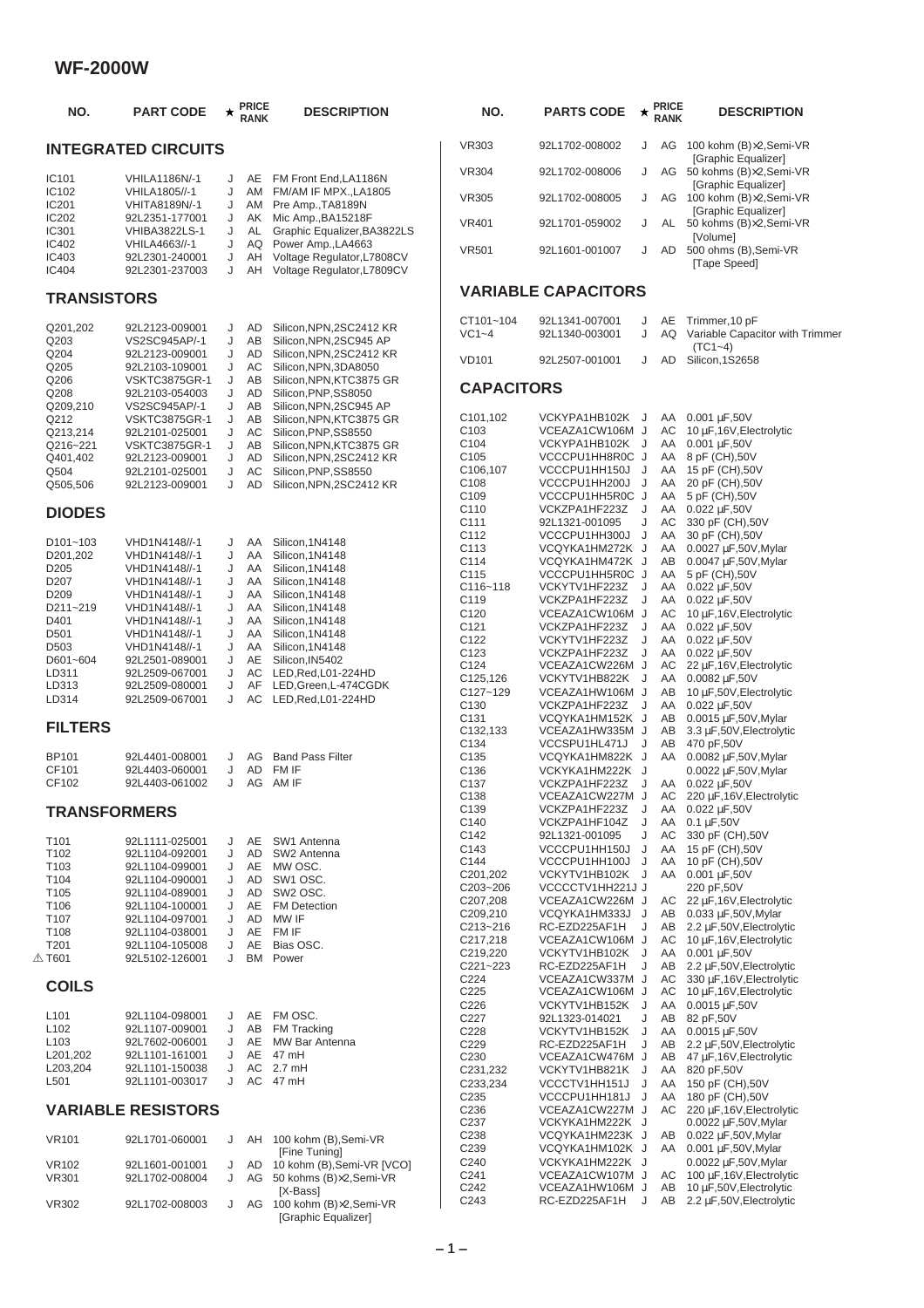| NO.                            | <b>PART CODE</b>                                  | $\star$     | <b>PRICE</b><br><b>RANK</b> | <b>DESCRIPTION</b>                                                             | NO.                                  | <b>PARTS CODE</b>                  | ★      | <b>PRICE</b><br><b>RANK</b> | <b>DESCRIPTION</b>                                          |
|--------------------------------|---------------------------------------------------|-------------|-----------------------------|--------------------------------------------------------------------------------|--------------------------------------|------------------------------------|--------|-----------------------------|-------------------------------------------------------------|
|                                | <b>INTEGRATED CIRCUITS</b>                        |             |                             |                                                                                | <b>VR303</b>                         | 92L1702-008002                     | J      | AG                          | 100 kohm (B)×2,Semi-VR<br>[Graphic Equalizer]               |
| IC101                          | <b>VHILA1186N/-1</b>                              | J           | AE                          | FM Front End, LA1186N                                                          | <b>VR304</b>                         | 92L1702-008006                     | J      | AG                          | 50 kohms (B)×2, Semi-VR<br>[Graphic Equalizer]              |
| IC102<br>IC201                 | VHILA1805//-1<br>VHITA8189N/-1                    | J<br>J      | AM<br>AM                    | FM/AM IF MPX., LA1805<br>Pre Amp., TA8189N                                     | <b>VR305</b>                         | 92L1702-008005                     | J      |                             | AG 100 kohm (B)×2, Semi-VR<br>[Graphic Equalizer]           |
| IC202<br><b>IC301</b>          | 92L2351-177001<br><b>VHIBA3822LS-1</b>            | J<br>J      | AK<br>AL                    | Mic Amp., BA15218F<br>Graphic Equalizer, BA3822LS                              | <b>VR401</b>                         | 92L1701-059002                     | J      |                             | AL 50 kohms (B)×2, Semi-VR<br>[Volume]                      |
| IC402<br>IC403<br><b>IC404</b> | VHILA4663//-1<br>92L2301-240001<br>92L2301-237003 | J<br>J<br>J | AQ<br>AH<br>AH              | Power Amp., LA4663<br>Voltage Regulator, L7808CV<br>Voltage Regulator, L7809CV | <b>VR501</b>                         | 92L1601-001007                     | J      | AD                          | 500 ohms (B), Semi-VR<br>[Tape Speed]                       |
| <b>TRANSISTORS</b>             |                                                   |             |                             |                                                                                |                                      | <b>VARIABLE CAPACITORS</b>         |        |                             |                                                             |
| Q201,202                       | 92L2123-009001                                    | J           | AD                          | Silicon, NPN, 2SC 2412 KR                                                      | CT101~104<br>$VC1-4$                 | 92L1341-007001                     | J<br>J | AE<br>AQ                    | Trimmer, 10 pF<br>Variable Capacitor with Trimmer           |
| Q203<br>Q204<br>Q205           | VS2SC945AP/-1<br>92L2123-009001<br>92L2103-109001 | J<br>J<br>J | AB<br><b>AD</b><br>AC       | Silicon, NPN, 2SC945 AP<br>Silicon, NPN, 2SC 2412 KR<br>Silicon, NPN, 3DA8050  | <b>VD101</b>                         | 92L1340-003001<br>92L2507-001001   | J      | AD                          | $(TC1 - 4)$<br>Silicon, 1S2658                              |
| Q206<br>Q208                   | <b>VSKTC3875GR-1</b><br>92L2103-054003            | J<br>J      | AB<br>AD                    | Silicon, NPN, KTC3875 GR<br>Silicon, PNP, SS8050                               | <b>CAPACITORS</b>                    |                                    |        |                             |                                                             |
| Q209,210<br>Q212               | VS2SC945AP/-1                                     | J<br>J      | AB<br>AB                    | Silicon, NPN, 2SC945 AP<br>Silicon, NPN, KTC3875 GR                            | C101,102                             | VCKYPA1HB102K J                    |        | AA                          | 0.001 µF,50V                                                |
| Q213,214                       | <b>VSKTC3875GR-1</b><br>92L2101-025001            | J           | AC                          | Silicon, PNP, SS8550                                                           | C <sub>103</sub>                     | VCEAZA1CW106M J                    |        | AC                          | 10 µF, 16V, Electrolytic                                    |
| Q216~221                       | <b>VSKTC3875GR-1</b>                              | J           | AB                          | Silicon, NPN, KTC3875 GR                                                       | C104                                 | VCKYPA1HB102K J                    |        |                             | AA 0.001 µF,50V                                             |
| Q401,402                       | 92L2123-009001                                    | J           | AD                          | Silicon, NPN, 2SC 2412 KR                                                      | C <sub>105</sub>                     | VCCCPU1HH8R0C J                    |        |                             | AA 8 pF (CH),50V                                            |
| Q504                           | 92L2101-025001                                    | J           | AC                          | Silicon, PNP, SS8550                                                           | C106,107                             | VCCCPU1HH150J J                    |        | AA                          | 15 pF (CH),50V                                              |
| Q505,506                       | 92L2123-009001                                    | J           | <b>AD</b>                   | Silicon, NPN, 2SC 2412 KR                                                      | C <sub>108</sub><br>C109             | VCCCPU1HH200J J                    |        | AA<br>AA                    | 20 pF (CH),50V<br>5 pF (CH),50V                             |
|                                |                                                   |             |                             |                                                                                | C110                                 | VCCCPU1HH5R0C J<br>VCKZPA1HF223Z J |        | AA                          | 0.022 µF,50V                                                |
| <b>DIODES</b>                  |                                                   |             |                             |                                                                                | C111                                 | 92L1321-001095                     | J      | AC                          | 330 pF (CH),50V                                             |
| D <sub>101~103</sub>           | VHD1N4148//-1                                     | J           | AA                          | Silicon, 1N4148                                                                | C112                                 | VCCCPU1HH300J J                    |        | AA                          | 30 pF (CH),50V                                              |
| D201,202                       | VHD1N4148//-1                                     | J           | AA                          | Silicon, 1N4148                                                                | C113                                 | VCQYKA1HM272K J                    |        | AA                          | 0.0027 µF,50V, Mylar                                        |
| D <sub>205</sub>               | VHD1N4148//-1                                     | J           | AA                          | Silicon, 1N4148                                                                | C114                                 | VCQYKA1HM472K J                    |        | AB                          | 0.0047 µF,50V, Mylar                                        |
| D207                           | VHD1N4148//-1                                     | J           | AA                          | Silicon, 1N4148                                                                | C115<br>$C116 - 118$                 | VCCCPU1HH5R0C J<br>VCKYTV1HF223Z J |        | AA                          | 5 pF (CH),50V<br>AA 0.022 µF,50V                            |
| D <sub>209</sub>               | VHD1N4148//-1                                     | J           | AA                          | Silicon, 1N4148                                                                | C119                                 | VCKZPA1HF223Z                      | J      |                             | AA 0.022 µF,50V                                             |
| D211~219<br>D401               | VHD1N4148//-1                                     | J<br>J      | AA<br>AA                    | Silicon, 1N4148<br>Silicon, 1N4148                                             | C <sub>120</sub>                     | VCEAZA1CW106M J                    |        | AC                          | 10 µF,16V, Electrolytic                                     |
| D501                           | VHD1N4148//-1<br>VHD1N4148//-1                    | J           | AA                          | Silicon, 1N4148                                                                | C121                                 | VCKZPA1HF223Z                      | J      |                             | AA 0.022 µF,50V                                             |
| D <sub>503</sub>               | VHD1N4148//-1                                     | J           | AA                          | Silicon, 1N4148                                                                | C122                                 | VCKYTV1HF223Z                      | J      |                             | AA 0.022 µF,50V                                             |
| D601~604                       | 92L2501-089001                                    | J           | AE                          | Silicon, IN5402                                                                | C <sub>123</sub><br>C124             | VCKZPA1HF223Z<br>VCEAZA1CW226M J   | J      | AC                          | AA 0.022 µF,50V<br>22 µF, 16V, Electrolytic                 |
| LD311                          | 92L2509-067001                                    | J           | AC                          | LED, Red, L01-224HD                                                            | C <sub>125</sub> , 126               | VCKYTV1HB822K J                    |        | AA                          | $0.0082 \,\mu F,50V$                                        |
| LD313<br>LD314                 | 92L2509-080001<br>92L2509-067001                  | J<br>J      | AF<br>AC                    | LED, Green, L-474CGDK<br>LED, Red, L01-224HD                                   | C127~129                             | VCEAZA1HW106M J                    |        | AB                          | 10 µF,50V, Electrolytic                                     |
|                                |                                                   |             |                             |                                                                                | C130                                 | VCKZPA1HF223Z                      | J      |                             | AA 0.022 µF,50V                                             |
| <b>FILTERS</b>                 |                                                   |             |                             |                                                                                | C <sub>131</sub><br>C132,133         | VCQYKA1HM152K J<br>VCEAZA1HW335M J |        | AB<br>AB                    | $0.0015 \,\mu F$ , 50V, Mylar<br>3.3 µF,50V, Electrolytic   |
|                                |                                                   |             |                             |                                                                                | C134                                 | VCCSPU1HL471J J                    |        | AB                          | 470 pF,50V                                                  |
| <b>BP101</b>                   | 92L4401-008001                                    | J           | AG                          | <b>Band Pass Filter</b>                                                        | C <sub>135</sub>                     | VCQYKA1HM822K J                    |        | AA                          | $0.0082 \mu F$ , 50V, Mylar                                 |
| CF101                          | 92L4403-060001                                    | J           | AD                          | FM IF                                                                          | C136                                 | VCKYKA1HM222K J                    |        |                             | $0.0022 \mu F$ , 50V, Mylar                                 |
| CF102                          | 92L4403-061002                                    | J           |                             | AG AM IF                                                                       | C <sub>137</sub>                     | VCKZPA1HF223Z                      | J      |                             | AA 0.022 µF,50V                                             |
|                                |                                                   |             |                             |                                                                                | C138<br>C139                         | VCEAZA1CW227M J<br>VCKZPA1HF223Z   | J      |                             | AC 220 µF,16V, Electrolytic<br>AA 0.022 µF,50V              |
| <b>TRANSFORMERS</b>            |                                                   |             |                             |                                                                                | C140                                 | VCKZPA1HF104Z                      | J      |                             | AA 0.1 µF,50V                                               |
| T <sub>101</sub>               | 92L1111-025001                                    | J           | AE                          | SW1 Antenna                                                                    | C142                                 | 92L1321-001095                     | J      | AC                          | 330 pF (CH),50V                                             |
| T102                           | 92L1104-092001                                    | J           | AD                          | SW2 Antenna                                                                    | C143                                 | VCCCPU1HH150J J                    |        | AA                          | 15 pF (CH),50V                                              |
| T103                           | 92L1104-099001                                    | J           | AE                          | MW OSC.                                                                        | C144                                 | VCCCPU1HH100J J                    |        | AA                          | 10 pF (CH),50V                                              |
| T104                           | 92L1104-090001                                    | J           | AD                          | SW1 OSC.                                                                       | C201,202<br>C203~206                 | VCKYTV1HB102K J<br>VCCCCTV1HH221JJ |        |                             | AA 0.001 µF,50V<br>220 pF,50V                               |
| T <sub>105</sub>               | 92L1104-089001                                    | J           | AD                          | SW <sub>2</sub> OSC.                                                           | C207,208                             | VCEAZA1CW226M J                    |        |                             | $AC$ 22 $\mu$ F, 16V, Electrolytic                          |
| T106<br>T107                   | 92L1104-100001<br>92L1104-097001                  | J<br>J      | AE<br>AD                    | <b>FM Detection</b><br>MW IF                                                   | C209,210                             | VCQYKA1HM333J J                    |        |                             | AB 0.033 µF,50V, Mylar                                      |
| T108                           | 92L1104-038001                                    | J           | AE                          | FM IF                                                                          | C213~216                             | RC-EZD225AF1H                      | J      |                             | AB 2.2 µF,50V, Electrolytic                                 |
| T201                           | 92L1104-105008                                    | J           | AE                          | Bias OSC.                                                                      | C217,218                             | VCEAZA1CW106M J<br>VCKYTV1HB102K J |        |                             | $AC$ 10 $\mu$ F, 16V, Electrolytic<br>AA 0.001 µF,50V       |
| $\mathbin{\mathbb{A}}$ T601    | 92L5102-126001                                    | J           | BM                          | Power                                                                          | C219,220<br>$C221 - 223$             | RC-EZD225AF1H                      | J      |                             | AB 2.2 µF,50V, Electrolytic                                 |
|                                |                                                   |             |                             |                                                                                | C224                                 | VCEAZA1CW337M J                    |        |                             | AC 330 µF, 16V, Electrolytic                                |
| <b>COILS</b>                   |                                                   |             |                             |                                                                                | C225                                 | VCEAZA1CW106M J                    |        | AC                          | 10 µF,16V,Electrolytic                                      |
| L <sub>101</sub>               |                                                   | J           | AE                          | FM OSC.                                                                        | C226                                 | VCKYTV1HB152K J                    |        |                             | AA 0.0015 µF,50V                                            |
| L <sub>102</sub>               | 92L1104-098001<br>92L1107-009001                  | J           | AB                          | <b>FM Tracking</b>                                                             | C227                                 | 92L1323-014021                     | J      | AB                          | 82 pF,50V                                                   |
| L <sub>103</sub>               | 92L7602-006001                                    | J           | AE                          | MW Bar Antenna                                                                 | C228<br>C <sub>229</sub>             | VCKYTV1HB152K J<br>RC-EZD225AF1H   | J      |                             | AA 0.0015 µF,50V<br>AB 2.2 µF,50V, Electrolytic             |
| L201,202                       | 92L1101-161001                                    | J           | AE                          | 47 mH                                                                          | C <sub>230</sub>                     | VCEAZA1CW476M J                    |        |                             | $AB$ 47 $\mu$ F, 16V, Electrolytic                          |
| L203,204                       | 92L1101-150038                                    | J           |                             | AC 2.7 mH                                                                      | C231,232                             | VCKYTV1HB821K J                    |        |                             | AA 820 pF,50V                                               |
| L501                           | 92L1101-003017                                    | J           |                             | AC 47 mH                                                                       | C233,234                             | VCCCTV1HH151J J                    |        |                             | AA 150 pF (CH),50V                                          |
|                                |                                                   |             |                             |                                                                                | C <sub>235</sub>                     | VCCCPU1HH181J J                    |        |                             | AA 180 pF (CH),50V                                          |
|                                | <b>VARIABLE RESISTORS</b>                         |             |                             |                                                                                | C <sub>236</sub><br>C <sub>237</sub> | VCEAZA1CW227M J<br>VCKYKA1HM222K J |        |                             | AC 220 µF, 16V, Electrolytic<br>$0.0022 \,\mu F,50V,$ Mylar |
|                                |                                                   |             |                             |                                                                                | C238                                 | VCQYKA1HM223K J                    |        |                             | AB 0.022 µF,50V, Mylar                                      |
| <b>VR101</b>                   | 92L1701-060001                                    | J           | AH                          | 100 kohm (B), Semi-VR<br>[Fine Tuning]                                         | C <sub>239</sub>                     | VCQYKA1HM102K J                    |        |                             | AA 0.001 μF,50V, Mylar                                      |
| <b>VR102</b>                   | 92L1601-001001                                    | J           | AD                          | 10 kohm (B), Semi-VR [VCO]                                                     | C240                                 | VCKYKA1HM222K J                    |        |                             | 0.0022 µF,50V, Mylar                                        |
| <b>VR301</b>                   | 92L1702-008004                                    | J           | AG                          | 50 kohms (B)×2,Semi-VR                                                         | C <sub>241</sub>                     | VCEAZA1CW107M J                    |        |                             | AC 100 µF, 16V, Electrolytic                                |
|                                |                                                   |             |                             | [X-Bass]                                                                       | C <sub>242</sub>                     | VCEAZA1HW106M J                    |        | AB                          | 10 μF,50V, Electrolytic                                     |
| <b>VR302</b>                   | 92L1702-008003                                    | J           |                             | AG 100 kohm (B)×2, Semi-VR<br>[Graphic Equalizer]                              | C <sub>243</sub>                     | RC-EZD225AF1H                      | J      |                             | AB 2.2 µF,50V, Electrolytic                                 |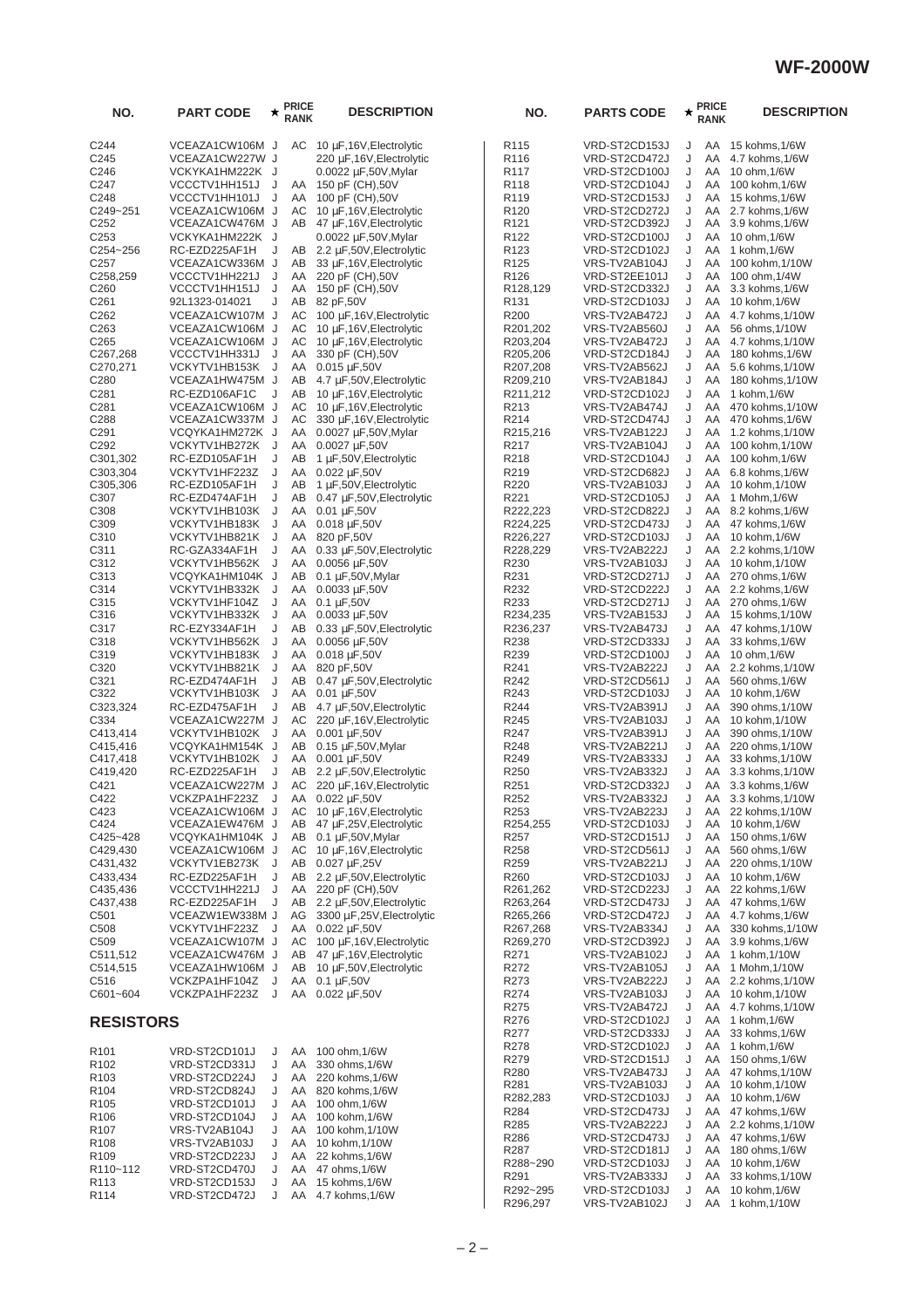| NO.                                  | <b>PART CODE</b>                   | $^\star$ | <b>PRICE</b><br><b>RANK</b> | <b>DESCRIPTION</b>                                   | NO.                                  | <b>PARTS CODE</b>              | ★      | <b>PRICE</b><br><b>RANK</b> | <b>DESCRIPTION</b>                     |
|--------------------------------------|------------------------------------|----------|-----------------------------|------------------------------------------------------|--------------------------------------|--------------------------------|--------|-----------------------------|----------------------------------------|
| C244                                 | VCEAZA1CW106M J                    |          | AC                          | 10 µF,16V, Electrolytic                              | R <sub>115</sub>                     | VRD-ST2CD153J                  | J      | AA                          | 15 kohms,1/6W                          |
| C <sub>245</sub>                     | VCEAZA1CW227W J                    |          |                             | 220 µF,16V, Electrolytic                             | R <sub>116</sub>                     | VRD-ST2CD472J                  | J      | AA                          | 4.7 kohms, 1/6W                        |
| C246                                 | VCKYKA1HM222K J                    |          |                             | $0.0022 \mu F,50V,$ Mylar                            | R117                                 | VRD-ST2CD100J                  | J      | AA                          | 10 ohm, 1/6W                           |
| C <sub>247</sub>                     | VCCCTV1HH151J                      | J        | AA                          | 150 pF (CH),50V                                      | R <sub>118</sub>                     | VRD-ST2CD104J                  | J      | AA                          | 100 kohm, 1/6W                         |
| C248<br>C249~251                     | VCCCTV1HH101J                      | J        | AA<br>AC                    | 100 pF (CH),50V                                      | R <sub>119</sub><br>R <sub>120</sub> | VRD-ST2CD153J<br>VRD-ST2CD272J | J<br>J | AA<br>AA                    | 15 kohms, 1/6W<br>2.7 kohms, 1/6W      |
| C <sub>252</sub>                     | VCEAZA1CW106M J<br>VCEAZA1CW476M J |          | AB                          | 10 μF, 16V, Electrolytic<br>47 μF,16V, Electrolytic  | R <sub>121</sub>                     | VRD-ST2CD392J                  | J      | AA                          | 3.9 kohms, 1/6W                        |
| C <sub>253</sub>                     | VCKYKA1HM222K J                    |          |                             | $0.0022 \mu F,50V,$ Mylar                            | R <sub>122</sub>                     | VRD-ST2CD100J                  | J      | AA                          | 10 ohm, 1/6W                           |
| C254~256                             | RC-EZD225AF1H                      | J        | AB                          | 2.2 µF,50V, Electrolytic                             | R <sub>123</sub>                     | VRD-ST2CD102J                  | J      | AA                          | 1 kohm, 1/6W                           |
| C <sub>257</sub>                     | VCEAZA1CW336M J                    |          | AB                          | 33 µF, 16V, Electrolytic                             | R <sub>125</sub>                     | VRS-TV2AB104J                  | J      | AA                          | 100 kohm, 1/10W                        |
| C258,259                             | VCCCTV1HH221J                      | J        | AA                          | 220 pF (CH),50V                                      | R <sub>126</sub>                     | VRD-ST2EE101J                  | J      | AA                          | 100 ohm, 1/4W                          |
| C <sub>260</sub>                     | VCCCTV1HH151J                      | J        | AA                          | 150 pF (CH),50V                                      | R128,129                             | VRD-ST2CD332J                  | J      | AA                          | 3.3 kohms, 1/6W                        |
| C <sub>261</sub>                     | 92L1323-014021                     | J        | AB                          | 82 pF,50V                                            | R <sub>131</sub>                     | VRD-ST2CD103J                  | J      | AA                          | 10 kohm, 1/6W                          |
| C262                                 | VCEAZA1CW107M J                    |          | AC<br>AC                    | 100 µF, 16V, Electrolytic                            | R200                                 | VRS-TV2AB472J                  | J<br>J | AA<br>AA                    | 4.7 kohms, 1/10W                       |
| C <sub>263</sub><br>C <sub>265</sub> | VCEAZA1CW106M J<br>VCEAZA1CW106M J |          | АC                          | 10 µF, 16V, Electrolytic<br>10 µF, 16V, Electrolytic | R201,202<br>R203,204                 | VRS-TV2AB560J<br>VRS-TV2AB472J | J      | AA                          | 56 ohms, 1/10W<br>4.7 kohms, 1/10W     |
| C <sub>267</sub> , 268               | VCCCTV1HH331J J                    |          | AA                          | 330 pF (CH),50V                                      | R205,206                             | VRD-ST2CD184J                  | J      | AA                          | 180 kohms, 1/6W                        |
| C270,271                             | VCKYTV1HB153K                      | J        | AA                          | 0.015 µF,50V                                         | R207,208                             | VRS-TV2AB562J                  | J      | AA                          | 5.6 kohms, 1/10W                       |
| C280                                 | VCEAZA1HW475M J                    |          | AB                          | 4.7 µF,50V, Electrolytic                             | R209,210                             | VRS-TV2AB184J                  | J      | AA                          | 180 kohms, 1/10W                       |
| C281                                 | RC-EZD106AF1C                      | J        | AB                          | 10 µF, 16V, Electrolytic                             | R211,212                             | VRD-ST2CD102J                  | J      | AA                          | 1 kohm, 1/6W                           |
| C281                                 | VCEAZA1CW106M J                    |          | АC                          | 10 µF, 16V, Electrolytic                             | R213                                 | VRS-TV2AB474J                  | J      | AA                          | 470 kohms, 1/10W                       |
| C288                                 | VCEAZA1CW337M J                    |          | AC                          | 330 µF,16V, Electrolytic                             | R <sub>2</sub> 14                    | VRD-ST2CD474J                  | J      | AA                          | 470 kohms, 1/6W                        |
| C <sub>291</sub><br>C <sub>292</sub> | VCQYKA1HM272K J<br>VCKYTV1HB272K   | J        | AA<br>AA                    | $0.0027 \mu F,50V,Mylar$<br>0.0027 µF,50V            | R215,216<br>R217                     | VRS-TV2AB122J                  | J<br>J | AA<br>AA                    | 1.2 kohms, 1/10W<br>100 kohm, 1/10W    |
| C301,302                             | RC-EZD105AF1H                      | J        | AB                          | 1 µF,50V, Electrolytic                               | R218                                 | VRS-TV2AB104J<br>VRD-ST2CD104J | J      | AA                          | 100 kohm, 1/6W                         |
| C303,304                             | VCKYTV1HF223Z                      | J        | AA                          | 0.022 µF,50V                                         | R219                                 | VRD-ST2CD682J                  | J      | AA                          | 6.8 kohms, 1/6W                        |
| C305,306                             | RC-EZD105AF1H                      | J        | AB                          | 1 µF,50V, Electrolytic                               | R220                                 | VRS-TV2AB103J                  | J      | AA                          | 10 kohm,1/10W                          |
| C307                                 | RC-EZD474AF1H                      | J        | AB                          | $0.47 \mu F$ , 50V, Electrolytic                     | R221                                 | VRD-ST2CD105J                  | J      | AA                          | 1 Mohm, 1/6W                           |
| C308                                 | VCKYTV1HB103K                      | J        | AA                          | $0.01 \mu F, 50V$                                    | R222,223                             | VRD-ST2CD822J                  | J      | AA                          | 8.2 kohms, 1/6W                        |
| C309                                 | VCKYTV1HB183K                      | J        | AA                          | 0.018 µF,50V                                         | R224,225                             | VRD-ST2CD473J                  | J      | AA                          | 47 kohms, 1/6W                         |
| C310                                 | VCKYTV1HB821K                      | J        | AA                          | 820 pF,50V                                           | R226,227                             | VRD-ST2CD103J                  | J      | AA                          | 10 kohm, 1/6W                          |
| C311                                 | RC-GZA334AF1H                      | J        | AA                          | 0.33 µF,50V, Electrolytic                            | R228,229                             | VRS-TV2AB222J                  | J      | AA                          | 2.2 kohms, 1/10W                       |
| C312<br>C313                         | VCKYTV1HB562K<br>VCQYKA1HM104K J   | J        | AA<br>AB                    | $0.0056 \mu F,50V$<br>$0.1 \mu F$ , 50V, Mylar       | R230<br>R231                         | VRS-TV2AB103J<br>VRD-ST2CD271J | J<br>J | AA<br>AA                    | 10 kohm, 1/10W<br>270 ohms, 1/6W       |
| C314                                 | VCKYTV1HB332K                      | J        | AA                          | $0.0033 \mu F,50V$                                   | R232                                 | VRD-ST2CD222J                  | J      | AA                          | 2.2 kohms, 1/6W                        |
| C315                                 | VCKYTV1HF104Z                      | J        | AA                          | $0.1 \mu F, 50V$                                     | R233                                 | VRD-ST2CD271J                  | J      | AA                          | 270 ohms, 1/6W                         |
| C316                                 | VCKYTV1HB332K                      | J        | AA                          | $0.0033 \mu F,50V$                                   | R234,235                             | VRS-TV2AB153J                  | J      | AA                          | 15 kohms, 1/10W                        |
| C317                                 | RC-EZY334AF1H                      | J        | AB                          | $0.33 \mu F$ , 50V, Electrolytic                     | R236,237                             | VRS-TV2AB473J                  | J      | AA                          | 47 kohms, 1/10W                        |
| C318                                 | VCKYTV1HB562K                      | J        | AA                          | 0.0056 µF,50V                                        | R238                                 | VRD-ST2CD333J                  | J      | AA                          | 33 kohms, 1/6W                         |
| C319                                 | VCKYTV1HB183K                      | J        | AA                          | 0.018 µF,50V                                         | R239                                 | VRD-ST2CD100J                  | J      | AA                          | 10 ohm, 1/6W                           |
| C320                                 | VCKYTV1HB821K                      | J<br>J   | AA<br>AB                    | 820 pF,50V                                           | R241<br>R242                         | VRS-TV2AB222J<br>VRD-ST2CD561J | J<br>J | AA<br>AA                    | 2.2 kohms, 1/10W                       |
| C321<br>C322                         | RC-EZD474AF1H<br>VCKYTV1HB103K     | J        | AA                          | 0.47 µF,50V, Electrolytic<br>$0.01 \mu F, 50V$       | R243                                 | VRD-ST2CD103J                  | J      | AA                          | 560 ohms, 1/6W<br>10 kohm, 1/6W        |
| C323,324                             | RC-EZD475AF1H                      | J        | AB                          | 4.7 µF,50V, Electrolytic                             | R <sub>244</sub>                     | VRS-TV2AB391J                  | J      | AA                          | 390 ohms, 1/10W                        |
| C334                                 | VCEAZA1CW227M J                    |          | AC                          | 220 µF, 16V, Electrolytic                            | R <sub>245</sub>                     | VRS-TV2AB103J                  | J      | AA                          | 10 kohm, 1/10W                         |
| C413,414                             | VCKYTV1HB102K                      | J.       | AA                          | 0.001 µF,50V                                         | R247                                 | VRS-TV2AB391J                  | J      | AA                          | 390 ohms, 1/10W                        |
| C415,416                             | VCQYKA1HM154K J                    |          | AB                          | $0.15 \mu F$ , 50V, Mylar                            | R248                                 | VRS-TV2AB221J                  | J      | AA                          | 220 ohms, 1/10W                        |
| C417,418                             | VCKYTV1HB102K                      | J        | AA                          | 0.001 µF,50V                                         | R <sub>249</sub>                     | VRS-TV2AB333J                  | J      | AA                          | 33 kohms, 1/10W                        |
| C419,420                             | RC-EZD225AF1H                      | J        | AB                          | 2.2 µF,50V, Electrolytic                             | R <sub>250</sub>                     | VRS-TV2AB332J                  | J      | AA                          | 3.3 kohms, 1/10W                       |
| C421<br>C422                         | VCEAZA1CW227M J<br>VCKZPA1HF223Z   |          | АC<br>AA                    | 220 µF, 16V, Electrolytic<br>0.022 µF,50V            | R251<br>R252                         | VRD-ST2CD332J<br>VRS-TV2AB332J | J<br>J | AA                          | AA 3.3 kohms, 1/6W<br>3.3 kohms, 1/10W |
| C423                                 | VCEAZA1CW106M J                    |          | AC                          | 10 µF, 16V, Electrolytic                             | R253                                 | VRS-TV2AB223J                  | J      | AA                          | 22 kohms, 1/10W                        |
| C424                                 | VCEAZA1EW476M J                    |          | AB                          | 47 µF,25V, Electrolytic                              | R254,255                             | VRD-ST2CD103J                  | J      | AA                          | 10 kohm, 1/6W                          |
| C425~428                             | VCQYKA1HM104K J                    |          | AB                          | $0.1 \mu F$ , 50V, Mylar                             | R <sub>257</sub>                     | VRD-ST2CD151J                  | J      | AA                          | 150 ohms, 1/6W                         |
| C429,430                             | VCEAZA1CW106M J                    |          | AC                          | 10 μF, 16V, Electrolytic                             | R <sub>258</sub>                     | VRD-ST2CD561J                  | J      | AA                          | 560 ohms, 1/6W                         |
| C431,432                             | VCKYTV1EB273K                      | J        | AB                          | 0.027 µF,25V                                         | R <sub>259</sub>                     | VRS-TV2AB221J                  | J      | AA                          | 220 ohms, 1/10W                        |
| C433,434                             | RC-EZD225AF1H                      | J        | AB                          | 2.2 µF,50V, Electrolytic                             | R <sub>260</sub>                     | VRD-ST2CD103J                  | J      | AA                          | 10 kohm, 1/6W                          |
| C435,436<br>C437,438                 | VCCCTV1HH221J<br>RC-EZD225AF1H     | J<br>J   | AA<br>AB                    | 220 pF (CH),50V<br>2.2 µF,50V, Electrolytic          | R261,262<br>R263,264                 | VRD-ST2CD223J<br>VRD-ST2CD473J | J<br>J | AA<br>AA                    | 22 kohms, 1/6W<br>47 kohms, 1/6W       |
| C501                                 | VCEAZW1EW338M J                    |          | AG                          | 3300 µF,25V, Electrolytic                            | R265,266                             | VRD-ST2CD472J                  | J      |                             | AA 4.7 kohms, 1/6W                     |
| C <sub>508</sub>                     | VCKYTV1HF223Z                      | J.       | AA                          | 0.022 µF,50V                                         | R267,268                             | VRS-TV2AB334J                  | J      | AA                          | 330 kohms, 1/10W                       |
| C <sub>509</sub>                     | VCEAZA1CW107M J                    |          | AC                          | 100 µF,16V, Electrolytic                             | R269,270                             | VRD-ST2CD392J                  | J      | AA                          | 3.9 kohms, 1/6W                        |
| C511,512                             | VCEAZA1CW476M J                    |          | AB                          | 47 µF, 16V, Electrolytic                             | R271                                 | VRS-TV2AB102J                  | J      | AA                          | 1 kohm, 1/10W                          |
| C514,515                             | VCEAZA1HW106M J                    |          | AB                          | 10 µF,50V, Electrolytic                              | R272                                 | VRS-TV2AB105J                  | J      | AA                          | 1 Mohm, 1/10W                          |
| C516                                 | VCKZPA1HF104Z                      | J        | AA                          | $0.1 \mu F, 50V$                                     | R273                                 | VRS-TV2AB222J                  | J      |                             | AA 2.2 kohms, 1/10W                    |
| C601~604                             | VCKZPA1HF223Z                      | J        | AA                          | 0.022 µF,50V                                         | R274                                 | VRS-TV2AB103J                  | J      | AA                          | 10 kohm, 1/10W                         |
|                                      |                                    |          |                             |                                                      | R <sub>275</sub><br>R276             | VRS-TV2AB472J<br>VRD-ST2CD102J | J<br>J | AA<br>AA                    | 4.7 kohms, 1/10W<br>1 kohm, 1/6W       |
| <b>RESISTORS</b>                     |                                    |          |                             |                                                      | R277                                 | VRD-ST2CD333J                  | J      | AA                          | 33 kohms, 1/6W                         |
|                                      |                                    |          |                             |                                                      | R <sub>278</sub>                     | VRD-ST2CD102J                  | J      | AA                          | 1 kohm,1/6W                            |
| R <sub>101</sub><br>R <sub>102</sub> | VRD-ST2CD101J<br>VRD-ST2CD331J     | J<br>J   | AA<br>AA                    | 100 ohm, 1/6W<br>330 ohms, 1/6W                      | R279                                 | VRD-ST2CD151J                  | J      | AA                          | 150 ohms,1/6W                          |
| R <sub>103</sub>                     | VRD-ST2CD224J                      | J        | AA                          | 220 kohms, 1/6W                                      | R <sub>280</sub>                     | VRS-TV2AB473J                  | J      | AA                          | 47 kohms, 1/10W                        |
| R <sub>104</sub>                     | VRD-ST2CD824J                      | J        | AA                          | 820 kohms, 1/6W                                      | R <sub>281</sub>                     | VRS-TV2AB103J                  | J      | AA                          | 10 kohm, 1/10W                         |
| R <sub>105</sub>                     | VRD-ST2CD101J                      | J        | AA                          | 100 ohm, 1/6W                                        | R282,283                             | VRD-ST2CD103J                  | J      | AA                          | 10 kohm, 1/6W                          |
| R <sub>106</sub>                     | VRD-ST2CD104J                      | J        | AA                          | 100 kohm, 1/6W                                       | R <sub>284</sub>                     | VRD-ST2CD473J                  | J      | AA                          | 47 kohms, 1/6W                         |
| R <sub>107</sub>                     | VRS-TV2AB104J                      | J        | AA                          | 100 kohm, 1/10W                                      | R285<br>R286                         | VRS-TV2AB222J<br>VRD-ST2CD473J | J<br>J | AA<br>AA                    | 2.2 kohms, 1/10W<br>47 kohms, 1/6W     |
| R <sub>108</sub>                     | VRS-TV2AB103J                      | J        | AA                          | 10 kohm, 1/10W                                       | R <sub>287</sub>                     | VRD-ST2CD181J                  | J      | AA                          | 180 ohms,1/6W                          |
| R <sub>109</sub>                     | VRD-ST2CD223J                      | J        | AA                          | 22 kohms, 1/6W                                       | R288~290                             | VRD-ST2CD103J                  | J      | AA                          | 10 kohm, 1/6W                          |
| R110~112<br>R <sub>113</sub>         | VRD-ST2CD470J<br>VRD-ST2CD153J     | J<br>J   | AA<br>AA                    | 47 ohms, 1/6W<br>15 kohms, 1/6W                      | R <sub>291</sub>                     | VRS-TV2AB333J                  | J      | AA                          | 33 kohms, 1/10W                        |
| R <sub>114</sub>                     | VRD-ST2CD472J                      | J        | AA                          | 4.7 kohms, 1/6W                                      | R292~295                             | VRD-ST2CD103J                  | J      | AA                          | 10 kohm, 1/6W                          |
|                                      |                                    |          |                             |                                                      | R296,297                             | VRS-TV2AB102J                  | J      | AA                          | 1 kohm,1/10W                           |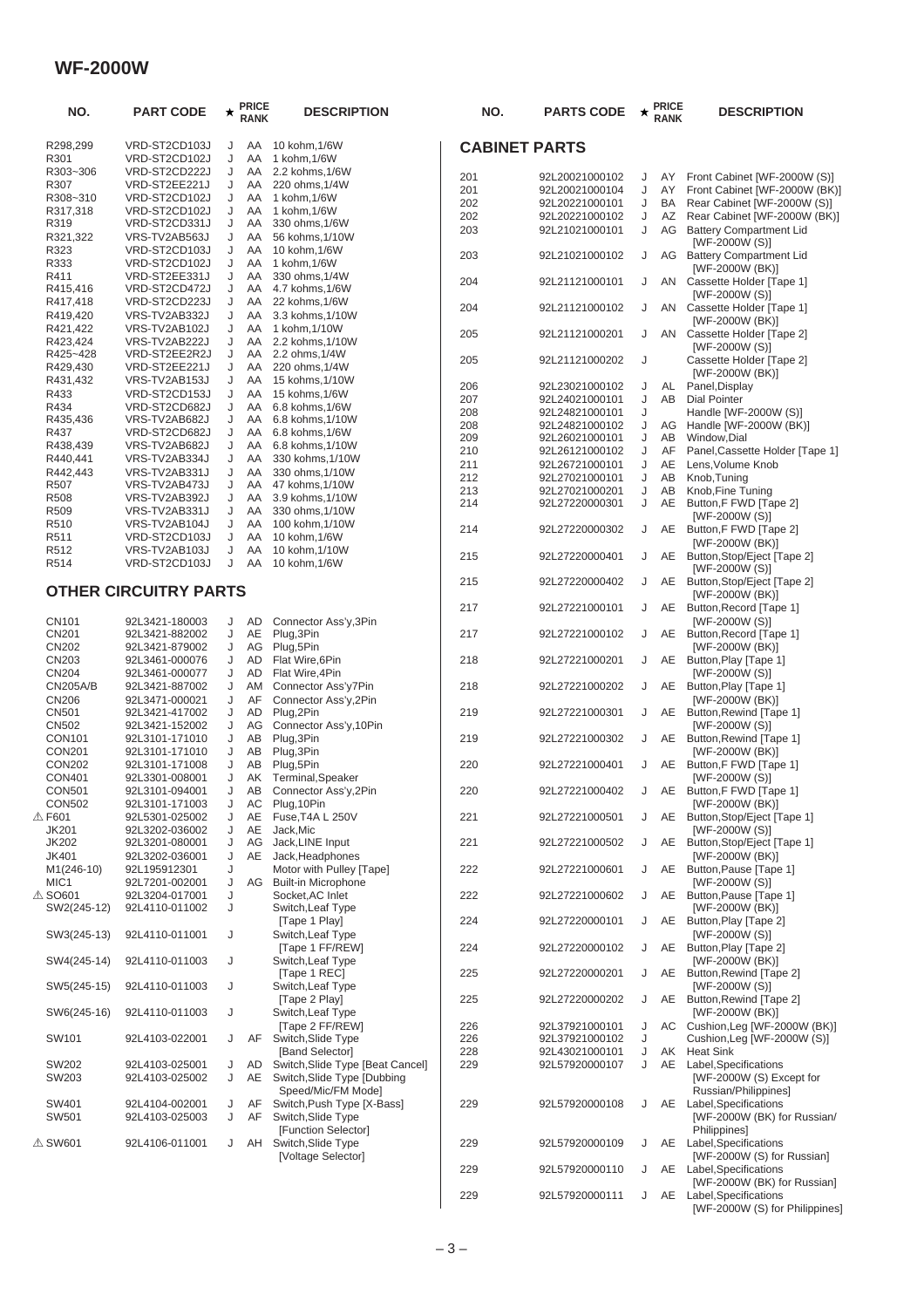| NO.               | <b>PART CODE</b>             | $\star$ | <b>PRICE</b><br><b>RANK</b> | <b>DESCRIPTION</b>               | NO.                  | <b>PARTS CODE</b> | ★      | <b>PRICE</b><br><b>RANK</b> | <b>DESCRIPTION</b>              |
|-------------------|------------------------------|---------|-----------------------------|----------------------------------|----------------------|-------------------|--------|-----------------------------|---------------------------------|
| R298,299          | VRD-ST2CD103J                | J       | AA                          | 10 kohm, 1/6W                    | <b>CABINET PARTS</b> |                   |        |                             |                                 |
| R301              | VRD-ST2CD102J                | J       | AA                          | 1 kohm, 1/6W                     |                      |                   |        |                             |                                 |
| R303~306          | VRD-ST2CD222J                | J       | AA                          | 2.2 kohms, 1/6W                  | 201                  | 92L20021000102    | J      | AY                          | Front Cabinet [WF-2000W (S)]    |
| R307              | VRD-ST2EE221J                | J       | AA                          | 220 ohms, 1/4W                   | 201                  | 92L20021000104    | J      | AY                          | Front Cabinet [WF-2000W (BK)]   |
| R308~310          | VRD-ST2CD102J                | J       | AA                          | 1 kohm, 1/6W                     | 202                  | 92L20221000101    | J      | BA                          | Rear Cabinet [WF-2000W (S)]     |
| R317,318          | VRD-ST2CD102J                | J       | AA                          | 1 kohm, 1/6W                     | 202                  | 92L20221000102    | J      | AZ                          | Rear Cabinet [WF-2000W (BK)]    |
| R319              | VRD-ST2CD331J                | J       | AA                          | 330 ohms, 1/6W                   | 203                  | 92L21021000101    | J      | AG                          | <b>Battery Compartment Lid</b>  |
| R321,322          | VRS-TV2AB563J                | J       | AA                          | 56 kohms, 1/10W                  |                      |                   |        |                             | [WF-2000W (S)]                  |
| R323              | VRD-ST2CD103J                | J       | AA                          | 10 kohm, 1/6W                    | 203                  | 92L21021000102    | J      | AG                          | <b>Battery Compartment Lid</b>  |
| R333              | VRD-ST2CD102J                | J       | AA                          | 1 kohm, 1/6W                     |                      |                   |        |                             | [WF-2000W (BK)]                 |
| R411              | VRD-ST2EE331J                | J       | AA                          | 330 ohms, 1/4W                   | 204                  | 92L21121000101    | J      | AN                          | Cassette Holder [Tape 1]        |
| R415,416          | VRD-ST2CD472J                | J       | AA                          | 4.7 kohms, 1/6W                  |                      |                   |        |                             | [WF-2000W (S)]                  |
| R417,418          | VRD-ST2CD223J                | J       | AA                          | 22 kohms, 1/6W                   | 204                  | 92L21121000102    | J      |                             | AN Cassette Holder [Tape 1]     |
| R419,420          | VRS-TV2AB332J                | J       | AA                          | 3.3 kohms, 1/10W                 |                      |                   |        |                             | [WF-2000W (BK)]                 |
| R421,422          | VRS-TV2AB102J                | J       | AA                          | 1 kohm, 1/10W                    | 205                  | 92L21121000201    | J      | AN                          | Cassette Holder [Tape 2]        |
| R423,424          | VRS-TV2AB222J                | J       | AA                          | 2.2 kohms, 1/10W                 |                      |                   |        |                             | [WF-2000W (S)]                  |
| R425~428          | VRD-ST2EE2R2J                | J       | AA                          | 2.2 ohms, 1/4W                   | 205                  | 92L21121000202    | J      |                             | Cassette Holder [Tape 2]        |
| R429,430          | VRD-ST2EE221J                | J       | AA                          | 220 ohms, 1/4W                   |                      |                   |        |                             | [WF-2000W (BK)]                 |
| R431,432          | VRS-TV2AB153J                | J       | AA                          | 15 kohms, 1/10W                  | 206                  | 92L23021000102    | J      | AL                          | Panel, Display                  |
| R433              | VRD-ST2CD153J                | J       | AA                          | 15 kohms, 1/6W                   | 207                  | 92L24021000101    | J      | AB                          | <b>Dial Pointer</b>             |
| R434              | VRD-ST2CD682J                | J       | AA                          | 6.8 kohms, 1/6W                  | 208                  | 92L24821000101    | J      |                             | Handle [WF-2000W (S)]           |
| R435,436          | VRS-TV2AB682J                | J       | AA                          | 6.8 kohms, 1/10W                 | 208                  | 92L24821000102    | J      | AG                          | Handle [WF-2000W (BK)]          |
| R437              | VRD-ST2CD682J                | J       | AA                          | 6.8 kohms, 1/6W                  | 209                  | 92L26021000101    | J      | AB                          | Window, Dial                    |
| R438,439          | VRS-TV2AB682J                | J       | AA                          | 6.8 kohms, 1/10W                 | 210                  | 92L26121000102    | J      | AF                          | Panel, Cassette Holder [Tape 1] |
| R440,441          | VRS-TV2AB334J                | J       | AA                          | 330 kohms, 1/10W                 | 211                  | 92L26721000101    | J      | AE                          | Lens, Volume Knob               |
| R442.443          | VRS-TV2AB331J                | J       | AA                          | 330 ohms, 1/10W                  |                      |                   |        | AB                          | Knob, Tuning                    |
| R507              | VRS-TV2AB473J                | J       | AA                          | 47 kohms, 1/10W                  | 212                  | 92L27021000101    | J      |                             |                                 |
| R508              | VRS-TV2AB392J                | J       | AA                          | 3.9 kohms, 1/10W                 | 213<br>214           | 92L27021000201    | J<br>J | AB<br>AE                    | Knob, Fine Tuning               |
| R509              | VRS-TV2AB331J                | J       | AA                          | 330 ohms, 1/10W                  |                      | 92L27220000301    |        |                             | Button, F FWD [Tape 2]          |
| R510              | VRS-TV2AB104J                | J       | AA                          | 100 kohm, 1/10W                  |                      |                   |        |                             | [WF-2000W (S)]                  |
| R511              | VRD-ST2CD103J                | J       | AA                          | 10 kohm, 1/6W                    | 214                  | 92L27220000302    | J      |                             | AE Button, F FWD [Tape 2]       |
| R512              | VRS-TV2AB103J                | J       | AA                          | 10 kohm, 1/10W                   |                      |                   |        |                             | [WF-2000W (BK)]                 |
| R514              | VRD-ST2CD103J                | J       | AA                          | 10 kohm, 1/6W                    | 215                  | 92L27220000401    | J      | AE                          | Button, Stop/Eject [Tape 2]     |
|                   |                              |         |                             |                                  |                      |                   |        |                             | [WF-2000W (S)]                  |
|                   |                              |         |                             |                                  | 215                  | 92L27220000402    | J      | AE                          | Button, Stop/Eject [Tape 2]     |
|                   | <b>OTHER CIRCUITRY PARTS</b> |         |                             |                                  |                      |                   |        |                             | [WF-2000W (BK)]                 |
|                   |                              |         |                             |                                  | 217                  | 92L27221000101    | J      | AE                          | Button, Record [Tape 1]         |
| CN101             | 92L3421-180003               | J       | <b>AD</b>                   | Connector Ass'y, 3Pin            |                      |                   |        |                             | [WF-2000W (S)]                  |
| CN201             | 92L3421-882002               | J       | AE                          | Plug, 3Pin                       | 217                  | 92L27221000102    | J      |                             | AE Button, Record [Tape 1]      |
| <b>CN202</b>      | 92L3421-879002               | J       | AG                          | Plug, 5Pin                       |                      |                   |        |                             | [WF-2000W (BK)]                 |
| CN203             | 92L3461-000076               | J       | AD                          | Flat Wire, 6Pin                  | 218                  | 92L27221000201    | J      |                             | AE Button, Play [Tape 1]        |
| CN204             | 92L3461-000077               | J       | <b>AD</b>                   | Flat Wire, 4Pin                  |                      |                   |        |                             | [WF-2000W (S)]                  |
| <b>CN205A/B</b>   | 92L3421-887002               | J       | AM                          | Connector Ass'y7Pin              | 218                  | 92L27221000202    | J      | AE                          | Button, Play [Tape 1]           |
| <b>CN206</b>      | 92L3471-000021               | J       | AF                          | Connector Ass'y,2Pin             |                      |                   |        |                             | [WF-2000W (BK)]                 |
| CN501             | 92L3421-417002               | J       | AD                          | Plug, 2Pin                       | 219                  | 92L27221000301    | J      | AE                          | Button, Rewind [Tape 1]         |
| CN502             | 92L3421-152002               | J       | AG                          | Connector Ass'y, 10Pin           |                      |                   |        |                             | [WF-2000W (S)]                  |
| CON101            | 92L3101-171010               | J       | AB                          | Plug, 3Pin                       | 219                  | 92L27221000302    | J      | AE                          | Button, Rewind [Tape 1]         |
| <b>CON201</b>     | 92L3101-171010               | J       | AB                          | Plug, 3Pin                       |                      |                   |        |                             | [WF-2000W (BK)]                 |
| <b>CON202</b>     | 92L3101-171008               | J       | AB                          | Plug, 5Pin                       | 220                  | 92L27221000401    | J      | AE                          | Button, F FWD [Tape 1]          |
| <b>CON401</b>     | 92L3301-008001               | J       | AK                          | Terminal, Speaker                |                      |                   |        |                             | [WF-2000W (S)]                  |
| <b>CON501</b>     | 92L3101-094001               | J       | AB                          | Connector Ass'y,2Pin             | 220                  | 92L27221000402    | J      | AE                          | Button, F FWD [Tape 1]          |
| <b>CON502</b>     | 92L3101-171003               | J       | AC                          | Plug, 10Pin                      |                      |                   |        |                             | [WF-2000W (BK)]                 |
| <b>△F601</b>      | 92L5301-025002               | J       | AE                          | Fuse, T4A L 250V                 | 221                  | 92L27221000501    | J      |                             | AE Button, Stop/Eject [Tape 1]  |
| <b>JK201</b>      | 92L3202-036002               | J       | AE                          | Jack.Mic                         |                      |                   |        |                             | [WF-2000W (S)]                  |
| <b>JK202</b>      | 92L3201-080001               | J       | AG                          | Jack, LINE Input                 | 221                  | 92L27221000502    | J      | AE                          | Button, Stop/Eject [Tape 1]     |
| <b>JK401</b>      | 92L3202-036001               | J       | AE                          | Jack, Headphones                 |                      |                   |        |                             | [WF-2000W (BK)]                 |
| M1(246-10)        | 92L195912301                 | J       |                             | Motor with Pulley [Tape]         | 222                  | 92L27221000601    | J      | AE                          | Button, Pause [Tape 1]          |
| MIC <sub>1</sub>  | 92L7201-002001               | J       | AG                          | <b>Built-in Microphone</b>       |                      |                   |        |                             | [WF-2000W (S)]                  |
| $\mathbb A$ SO601 | 92L3204-017001               | J       |                             | Socket, AC Inlet                 | 222                  | 92L27221000602    | J      |                             | AE Button, Pause [Tape 1]       |
| SW2(245-12)       | 92L4110-011002               | J       |                             | Switch, Leaf Type                |                      |                   |        |                             | [WF-2000W (BK)]                 |
|                   |                              |         |                             | [Tape 1 Play]                    | 224                  | 92L27220000101    |        |                             | J AE Button, Play [Tape 2]      |
| SW3(245-13)       | 92L4110-011001               | J       |                             | Switch, Leaf Type                |                      |                   |        |                             | [WF-2000W (S)]                  |
|                   |                              |         |                             | [Tape 1 FF/REW]                  | 224                  | 92L27220000102    | J      |                             | AE Button, Play [Tape 2]        |
| SW4(245-14)       | 92L4110-011003               | J       |                             | Switch, Leaf Type                |                      |                   |        |                             | [WF-2000W (BK)]                 |
|                   |                              |         |                             | [Tape 1 REC]                     | 225                  | 92L27220000201    | J      | AE                          | Button, Rewind [Tape 2]         |
| SW5(245-15)       | 92L4110-011003               | J       |                             | Switch, Leaf Type                |                      |                   |        |                             | [WF-2000W (S)]                  |
|                   |                              |         |                             | [Tape 2 Play]                    | 225                  | 92L27220000202    | J      | AE                          | Button, Rewind [Tape 2]         |
| SW6(245-16)       | 92L4110-011003               | J       |                             | Switch, Leaf Type                |                      |                   |        |                             | [WF-2000W (BK)]                 |
|                   |                              |         |                             | [Tape 2 FF/REW]                  | 226                  | 92L37921000101    | J      |                             | AC Cushion, Leg [WF-2000W (BK)] |
| SW101             | 92L4103-022001               | J       | AF                          | Switch, Slide Type               | 226                  | 92L37921000102    | J      |                             | Cushion, Leg [WF-2000W (S)]     |
|                   |                              |         |                             | [Band Selector]                  | 228                  | 92L43021000101    | J      |                             | AK Heat Sink                    |
| SW202             | 92L4103-025001               | J       | AD                          | Switch, Slide Type [Beat Cancel] | 229                  | 92L57920000107    | J      |                             | AE Label, Specifications        |
| SW203             | 92L4103-025002               | J       | AE                          | Switch, Slide Type [Dubbing      |                      |                   |        |                             | [WF-2000W (S) Except for        |
|                   |                              |         |                             | Speed/Mic/FM Mode]               |                      |                   |        |                             | Russian/Philippines]            |
| SW401             | 92L4104-002001               | J       | AF                          | Switch, Push Type [X-Bass]       | 229                  | 92L57920000108    | J      | AE                          | Label, Specifications           |
| SW501             | 92L4103-025003               | J       | AF                          | Switch, Slide Type               |                      |                   |        |                             | [WF-2000W (BK) for Russian/     |
|                   |                              |         |                             | [Function Selector]              |                      |                   |        |                             | Philippines]                    |
| $\mathbb A$ SW601 | 92L4106-011001               | J       |                             | AH Switch, Slide Type            | 229                  | 92L57920000109    | J      |                             | AE Label, Specifications        |
|                   |                              |         |                             | [Voltage Selector]               |                      |                   |        |                             | [WF-2000W (S) for Russian]      |
|                   |                              |         |                             |                                  | 229                  | 92L57920000110    | J      |                             | AE Label, Specifications        |
|                   |                              |         |                             |                                  |                      |                   |        |                             | [WF-2000W (BK) for Russian]     |
|                   |                              |         |                             |                                  | 229                  | 92L57920000111    | J      | AE                          | Label, Specifications           |
|                   |                              |         |                             |                                  |                      |                   |        |                             | [WF-2000W (S) for Philippines]  |
|                   |                              |         |                             |                                  |                      |                   |        |                             |                                 |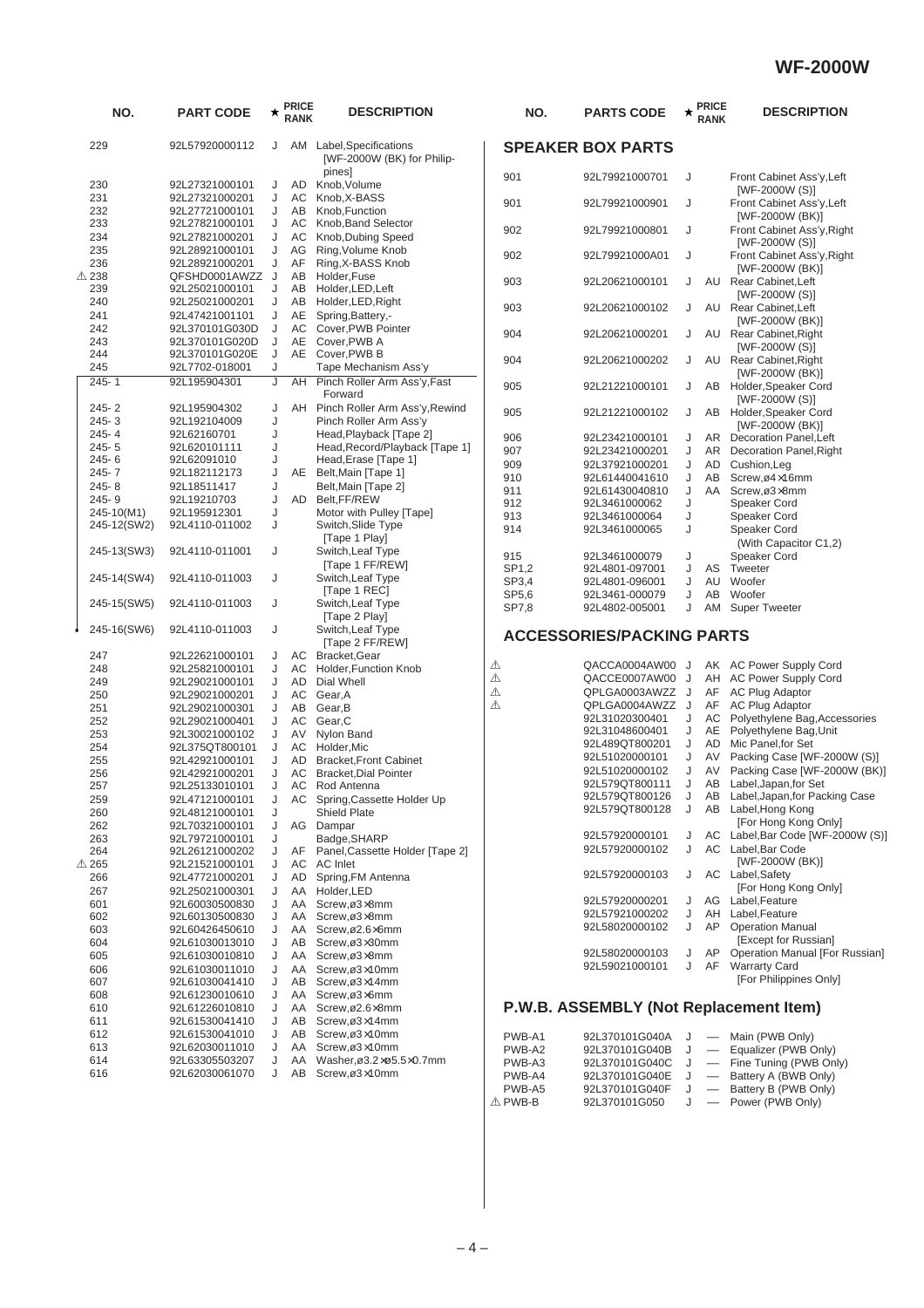| NO.                    | <b>PART CODE</b>                  | ★      | <b>PRICE</b><br><b>RANK</b> | <b>DESCRIPTION</b>                                     | NO.              | <b>PARTS CODE</b>                      | ★      | <b>PRICE</b><br><b>RANK</b> | <b>DESCRIPTION</b>                                      |
|------------------------|-----------------------------------|--------|-----------------------------|--------------------------------------------------------|------------------|----------------------------------------|--------|-----------------------------|---------------------------------------------------------|
| 229                    | 92L57920000112                    | J      |                             | AM Label, Specifications<br>[WF-2000W (BK) for Philip- |                  | <b>SPEAKER BOX PARTS</b>               |        |                             |                                                         |
| 230                    | 92L27321000101                    | J      | AD                          | pines]<br>Knob, Volume                                 | 901              | 92L79921000701                         | J      |                             | Front Cabinet Ass'y, Left<br>[WF-2000W (S)]             |
| 231<br>232             | 92L27321000201<br>92L27721000101  | J<br>J | AC<br>AB                    | Knob, X-BASS<br>Knob.Function                          | 901              | 92L79921000901                         | J      |                             | Front Cabinet Ass'y, Left                               |
| 233<br>234             | 92L27821000101<br>92L27821000201  | J<br>J | AC<br>AC                    | Knob, Band Selector<br>Knob, Dubing Speed              | 902              | 92L79921000801                         | J      |                             | [WF-2000W (BK)]<br>Front Cabinet Ass'y, Righ            |
| 235<br>236             | 92L28921000101<br>92L28921000201  | J<br>J | AG<br>AF                    | Ring, Volume Knob<br>Ring, X-BASS Knob                 | 902              | 92L79921000A01                         | J      |                             | [WF-2000W (S)]<br>Front Cabinet Ass'y, Righ             |
| $\triangle$ 238<br>239 | QFSHD0001AWZZ J<br>92L25021000101 | J      | AB<br>AB                    | Holder, Fuse<br>Holder, LED, Left                      | 903              | 92L20621000101                         | J      | AU                          | [WF-2000W (BK)]<br>Rear Cabinet, Left                   |
| 240                    | 92L25021000201                    | J      | AB                          | Holder, LED, Right                                     | 903              | 92L20621000102                         | J      |                             | [WF-2000W (S)]<br>AU Rear Cabinet, Left                 |
| 241                    | 92L47421001101                    | J      | AE                          | Spring, Battery,-                                      |                  |                                        |        |                             | [WF-2000W (BK)]                                         |
| 242<br>243             | 92L370101G030D<br>92L370101G020D  | J<br>J | AC<br>AE                    | Cover, PWB Pointer<br>Cover, PWB A                     | 904              | 92L20621000201                         | J      |                             | AU Rear Cabinet, Right                                  |
| 244                    | 92L370101G020E                    | J      | AE                          | Cover, PWB B                                           |                  |                                        |        |                             | [WF-2000W (S)]                                          |
| 245                    | 92L7702-018001                    | J      |                             | Tape Mechanism Ass'y                                   | 904              | 92L20621000202                         | J      |                             | AU Rear Cabinet, Right<br>[WF-2000W (BK)]               |
| $245 - 1$              | 92L195904301                      | J      | AH                          | Pinch Roller Arm Ass'y, Fast<br>Forward                | 905              | 92L21221000101                         | J      | AB                          | Holder, Speaker Cord<br>[WF-2000W (S)]                  |
| $245 - 2$<br>$245 - 3$ | 92L195904302<br>92L192104009      | J<br>J |                             | AH Pinch Roller Arm Ass'y, Rewind                      | 905              | 92L21221000102                         | J      | AB                          | Holder, Speaker Cord                                    |
| 245-4                  | 92L62160701                       | J      |                             | Pinch Roller Arm Ass'y<br>Head, Playback [Tape 2]      |                  |                                        |        |                             | [WF-2000W (BK)]                                         |
| $245 - 5$              | 92L620101111                      | J      |                             | Head, Record/Playback [Tape 1]                         | 906<br>907       | 92L23421000101<br>92L23421000201       | J<br>J |                             | AR Decoration Panel, Left<br>AR Decoration Panel, Right |
| 245-6                  | 92L62091010                       | J      |                             | Head, Erase [Tape 1]                                   | 909              | 92L37921000201                         | J      | AD                          | Cushion, Leg                                            |
| 245-7                  | 92L182112173                      | J      |                             | AE Belt, Main [Tape 1]                                 | 910              | 92L61440041610                         | J      | AB                          | Screw,ø4×16mm                                           |
| 245-8<br>245-9         | 92L18511417                       | J<br>J | <b>AD</b>                   | Belt, Main [Tape 2]<br>Belt, FF/REW                    | 911              | 92L61430040810                         | J      | AA                          | Screw,ø3x8mm                                            |
| 245-10(M1)             | 92L19210703<br>92L195912301       | J      |                             | Motor with Pulley [Tape]                               | 912              | 92L3461000062                          | J      |                             | Speaker Cord                                            |
| 245-12(SW2)            | 92L4110-011002                    | J      |                             | Switch, Slide Type                                     | 913<br>914       | 92L3461000064<br>92L3461000065         | J<br>J |                             | Speaker Cord<br>Speaker Cord                            |
|                        |                                   |        |                             | [Tape 1 Play]                                          |                  |                                        |        |                             | (With Capacitor C1,2)                                   |
| 245-13(SW3)            | 92L4110-011001                    | J      |                             | Switch, Leaf Type                                      | 915              | 92L3461000079                          | J      |                             | Speaker Cord                                            |
|                        |                                   |        |                             | [Tape 1 FF/REW]                                        | SP1,2            | 92L4801-097001                         | J      | AS                          | Tweeter                                                 |
| 245-14(SW4)            | 92L4110-011003                    | J      |                             | Switch, Leaf Type<br>[Tape 1 REC]                      | SP3,4            | 92L4801-096001                         | J      | AU                          | Woofer                                                  |
| 245-15(SW5)            | 92L4110-011003                    | J      |                             | Switch, Leaf Type                                      | SP5,6            | 92L3461-000079                         | J<br>J | AB                          | Woofer                                                  |
|                        |                                   |        |                             | [Tape 2 Play]                                          | SP7,8            | 92L4802-005001                         |        | AM                          | <b>Super Tweeter</b>                                    |
| 245-16(SW6)            | 92L4110-011003                    | J      |                             | Switch, Leaf Type                                      |                  | <b>ACCESSORIES/PACKING PARTS</b>       |        |                             |                                                         |
|                        |                                   |        |                             | [Tape 2 FF/REW]                                        |                  |                                        |        |                             |                                                         |
| 247<br>248             | 92L22621000101<br>92L25821000101  | J<br>J | AC<br>AC                    | Bracket, Gear<br>Holder, Function Knob                 | ⚠                | QACCA0004AW00                          | J      |                             | AK AC Power Supply Cord                                 |
| 249                    | 92L29021000101                    | J      | <b>AD</b>                   | Dial Whell                                             | ⚠                | QACCE0007AW00                          | J      |                             | AH AC Power Supply Cord                                 |
| 250                    | 92L29021000201                    | J      | AC                          | Gear, A                                                | ⚠                | QPLGA0003AWZZ                          | J      | AF                          | <b>AC Plug Adaptor</b>                                  |
| 251                    | 92L29021000301                    | J      | AB                          | Gear, B                                                | ⚠                | QPLGA0004AWZZ J                        |        | AF                          | <b>AC Plug Adaptor</b>                                  |
| 252                    | 92L29021000401                    | J      | AC                          | Gear, C                                                |                  | 92L31020300401<br>92L31048600401       | J<br>J | AC<br>AE                    | Polyethylene Bag, Acces<br>Polyethylene Bag, Unit       |
| 253                    | 92L30021000102                    | J      | AV                          | Nylon Band                                             |                  | 92L489QT800201                         | J      | AD                          | Mic Panel, for Set                                      |
| 254<br>255             | 92L375QT800101<br>92L42921000101  | J<br>J | AC<br><b>AD</b>             | Holder, Mic<br><b>Bracket, Front Cabinet</b>           |                  | 92L51020000101                         | J      | AV                          | Packing Case [WF-2000                                   |
| 256                    | 92L42921000201                    | J      | AC                          | <b>Bracket, Dial Pointer</b>                           |                  | 92L51020000102                         | J      | AV                          | Packing Case [WF-2000                                   |
| 257                    | 92L25133010101                    | J      | AC                          | Rod Antenna                                            |                  | 92L579QT800111                         | J      | AB                          | Label, Japan, for Set                                   |
| 259                    | 92L47121000101                    | J      | AC                          | Spring, Cassette Holder Up                             |                  | 92L579QT800126                         |        |                             | AB Label, Japan, for Packing                            |
| 260                    | 92L48121000101                    | J      |                             | Shield Plate                                           |                  | 92L579QT800128                         | J      |                             | AB Label, Hong Kong                                     |
| 262                    | 92L70321000101                    | J      | AG                          | Dampar                                                 |                  | 92L57920000101                         | J      |                             | [For Hong Kong Only]<br>AC Label, Bar Code [WF-200      |
| 263<br>264             | 92L79721000101<br>92L26121000202  | J<br>J | AF                          | Badge, SHARP<br>Panel, Cassette Holder [Tape 2]        |                  | 92L57920000102                         | J      | AC.                         | Label, Bar Code                                         |
| △ 265                  | 92L21521000101                    | J      | AC                          | AC Inlet                                               |                  |                                        |        |                             | [WF-2000W (BK)]                                         |
| 266                    | 92L47721000201                    | J      | AD                          | Spring, FM Antenna                                     |                  | 92L57920000103                         | J      |                             | AC Label, Safety                                        |
| 267                    | 92L25021000301                    | J      | AA                          | Holder, LED                                            |                  |                                        |        |                             | [For Hong Kong Only]                                    |
| 601                    | 92L60030500830                    | J      | AA                          | Screw,ø3x8mm                                           |                  | 92L57920000201                         | J      | AG                          | Label, Feature                                          |
| 602                    | 92L60130500830                    | J      | AA                          | Screw,ø3x8mm                                           |                  | 92L57921000202<br>92L58020000102       | J<br>J | AH<br>AP                    | Label, Feature<br><b>Operation Manual</b>               |
| 603<br>604             | 92L60426450610                    | J<br>J | AA<br>AB                    | Screw,ø2.6×6mm<br>Screw,ø3x30mm                        |                  |                                        |        |                             | [Except for Russian]                                    |
| 605                    | 92L61030013010<br>92L61030010810  | J      | AA                          | Screw,ø3x8mm                                           |                  | 92L58020000103                         | J      | AP                          | Operation Manual [For F                                 |
| 606                    | 92L61030011010                    | J      | AA                          | Screw,ø3×10mm                                          |                  | 92L59021000101                         | J      | AF                          | <b>Warrarty Card</b>                                    |
| 607                    | 92L61030041410                    | J      | AВ                          | Screw,ø3×14mm                                          |                  |                                        |        |                             | [For Philippines Only]                                  |
| 608                    | 92L61230010610                    | J      | AA                          | Screw,ø3x6mm                                           |                  |                                        |        |                             |                                                         |
| 610                    | 92L61226010810                    | J      | AA                          | Screw,ø2.6×8mm                                         |                  | P.W.B. ASSEMBLY (Not Replacement Item) |        |                             |                                                         |
| 611                    | 92L61530041410                    | J      | AB                          | Screw,ø3×14mm                                          |                  |                                        |        |                             |                                                         |
| 612<br>613             | 92L61530041010<br>92L62030011010  | J<br>J | AB<br>AA                    | Screw,ø3×10mm<br>Screw,ø3×10mm                         | PWB-A1           | 92L370101G040A                         | J      |                             | Main (PWB Only)                                         |
| 614                    | 92L63305503207                    | J      | AA                          | Washer, ø3.2xø5.5x0.7mm                                | PWB-A2<br>PWB-A3 | 92L370101G040B<br>92L370101G040C       | J<br>J |                             | Equalizer (PWB Only)<br>Fine Tuning (PWB Only)          |
| 616                    | 92L62030061070                    | J      | AB                          | Screw,ø3×10mm                                          | PWB-A4           | 92L370101G040E                         | J      |                             | Battery A (BWB Only)                                    |
|                        |                                   |        |                             |                                                        |                  |                                        |        |                             |                                                         |

|   | NO.   | <b>PARTS CODE</b>                | ★ | <b>PRICE</b><br><b>RANK</b> | <b>DESCRIPTION</b>                                              |
|---|-------|----------------------------------|---|-----------------------------|-----------------------------------------------------------------|
|   |       | <b>SPEAKER BOX PARTS</b>         |   |                             |                                                                 |
|   | 901   | 92L79921000701                   | J |                             | Front Cabinet Ass'y, Left                                       |
|   | 901   | 92L79921000901                   | J |                             | [WF-2000W (S)]<br>Front Cabinet Ass'y, Left                     |
|   | 902   | 92L79921000801                   | J |                             | [WF-2000W (BK)]<br>Front Cabinet Ass'y, Right                   |
|   | 902   | 92L79921000A01                   | J |                             | [WF-2000W (S)]<br>Front Cabinet Ass'y, Right<br>[WF-2000W (BK)] |
|   | 903   | 92L20621000101                   | J | AU                          | Rear Cabinet, Left<br>[WF-2000W (S)]                            |
|   | 903   | 92L20621000102                   | J | AU                          | Rear Cabinet, Left<br>[WF-2000W (BK)]                           |
|   | 904   | 92L20621000201                   | J | AU                          | Rear Cabinet, Right<br>[WF-2000W (S)]                           |
|   | 904   | 92L20621000202                   | J | AU                          | Rear Cabinet, Right<br>[WF-2000W (BK)]                          |
|   | 905   | 92L21221000101                   | J | AВ                          | Holder, Speaker Cord<br>[WF-2000W (S)]                          |
|   | 905   | 92L21221000102                   | J | AВ                          | Holder, Speaker Cord<br>[WF-2000W (BK)]                         |
|   | 906   | 92L23421000101                   | J | AR                          | Decoration Panel, Left                                          |
|   | 907   | 92L23421000201                   | J | AR                          | <b>Decoration Panel, Right</b>                                  |
|   | 909   | 92L37921000201                   | J | AD                          | Cushion, Leg                                                    |
|   | 910   | 92L61440041610                   | J | AB                          | Screw,ø4×16mm                                                   |
|   | 911   | 92L61430040810                   | J | AA                          | Screw,ø3x8mm                                                    |
|   | 912   | 92L3461000062                    | J |                             | Speaker Cord                                                    |
|   | 913   | 92L3461000064                    | J |                             | Speaker Cord                                                    |
|   | 914   | 92L3461000065                    | J |                             | Speaker Cord<br>(With Capacitor C1,2)                           |
|   | 915   | 92L3461000079                    | J |                             | Speaker Cord                                                    |
|   | SP1,2 | 92L4801-097001                   | J | AS                          | Tweeter                                                         |
|   | SP3,4 | 92L4801-096001                   | J |                             | AU Woofer                                                       |
|   | SP5,6 | 92L3461-000079                   | J | AB                          | Woofer                                                          |
|   | SP7,8 | 92L4802-005001                   | J | AM                          | <b>Super Tweeter</b>                                            |
|   |       | <b>ACCESSORIES/PACKING PARTS</b> |   |                             |                                                                 |
| ⚠ |       | QACCA0004AW00                    | J | AK                          | <b>AC Power Supply Cord</b>                                     |
| ⚠ |       | QACCE0007AW00                    | J | AH                          | <b>AC Power Supply Cord</b>                                     |
| ⚠ |       | QPLGA0003AWZZ                    | J | AF                          | <b>AC Plug Adaptor</b>                                          |
| ⚠ |       | QPLGA0004AWZZ                    | J | AF                          | <b>AC Plug Adaptor</b>                                          |
|   |       | 92L31020300401                   | J | AC                          | Polyethylene Bag, Accessories                                   |
|   |       | 92L31048600401                   | J | AE                          | Polyethylene Bag, Unit                                          |
|   |       | 92L489QT800201                   | J | AD.                         | Mic Panel, for Set                                              |
|   |       | 92L51020000101                   | J | AV                          | Packing Case [WF-2000W (S)]                                     |
|   |       | 92L51020000102                   | J | AV                          | Packing Case [WF-2000W (BK)]                                    |
|   |       | 92L579QT800111                   | J | AB                          | Label, Japan, for Set                                           |
|   |       | 92L579QT800126                   | J | AВ                          | Label, Japan, for Packing Case                                  |
|   |       | 92L579QT800128                   | J | AВ                          | Label, Hong Kong<br>[For Hong Kong Only]                        |
|   |       | 92L57920000101                   | J | АC                          | Label, Bar Code [WF-2000W (S)]                                  |
|   |       | 92L57920000102                   | J | АC                          | Label, Bar Code<br>[WF-2000W (BK)]                              |
|   |       | 92L57920000103                   | J | АC                          | Label, Safety<br>[For Hong Kong Only]                           |
|   |       | 92L57920000201                   | J | AG                          | Label, Feature                                                  |
|   |       | 92L57921000202                   | J | AH                          | Label, Feature                                                  |
|   |       | 92L58020000102                   | J | AP                          | <b>Operation Manual</b>                                         |
|   |       |                                  |   |                             | [Except for Russian]                                            |
|   |       | 92L58020000103                   | J | AP                          | Operation Manual [For Russian]                                  |

#### **ASSEMBLY (Not Replacement Item)**

| PWB-A1  | 92L370101G040A | J —               | Main (PWB Only)        |
|---------|----------------|-------------------|------------------------|
| PWB-A2  | 92L370101G040B | J —               | Equalizer (PWB Only)   |
| PWB-A3  | 92L370101G040C | $J =$             | Fine Tuning (PWB Only) |
| PWB-A4  | 92L370101G040E | J —               | Battery A (BWB Only)   |
| PWB-A5  | 92L370101G040F | J —               | Battery B (PWB Only)   |
| ∧ PWB-B | 92L370101G050  | $\hspace{0.05cm}$ | Power (PWB Only)       |
|         |                |                   |                        |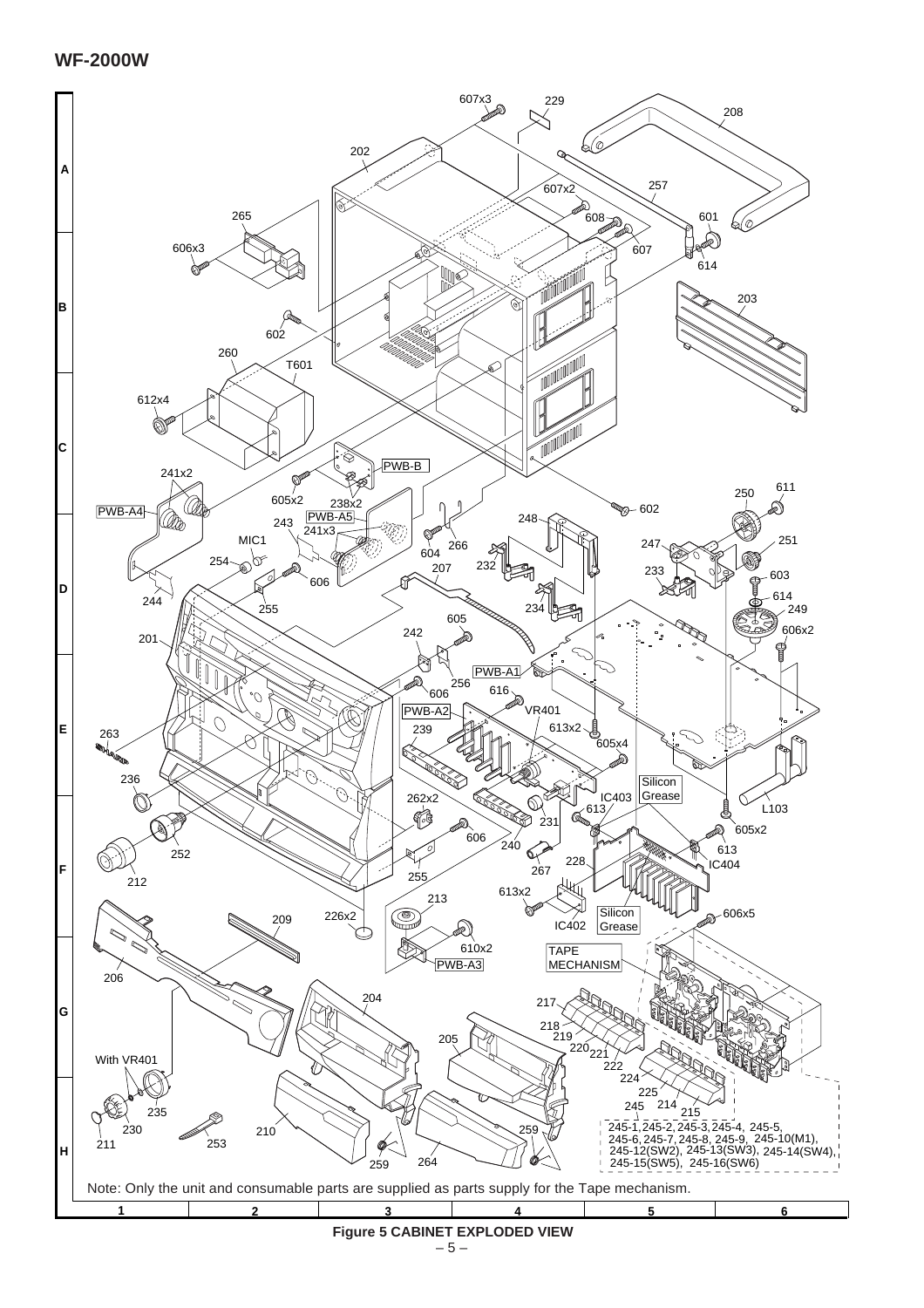

 $-5-$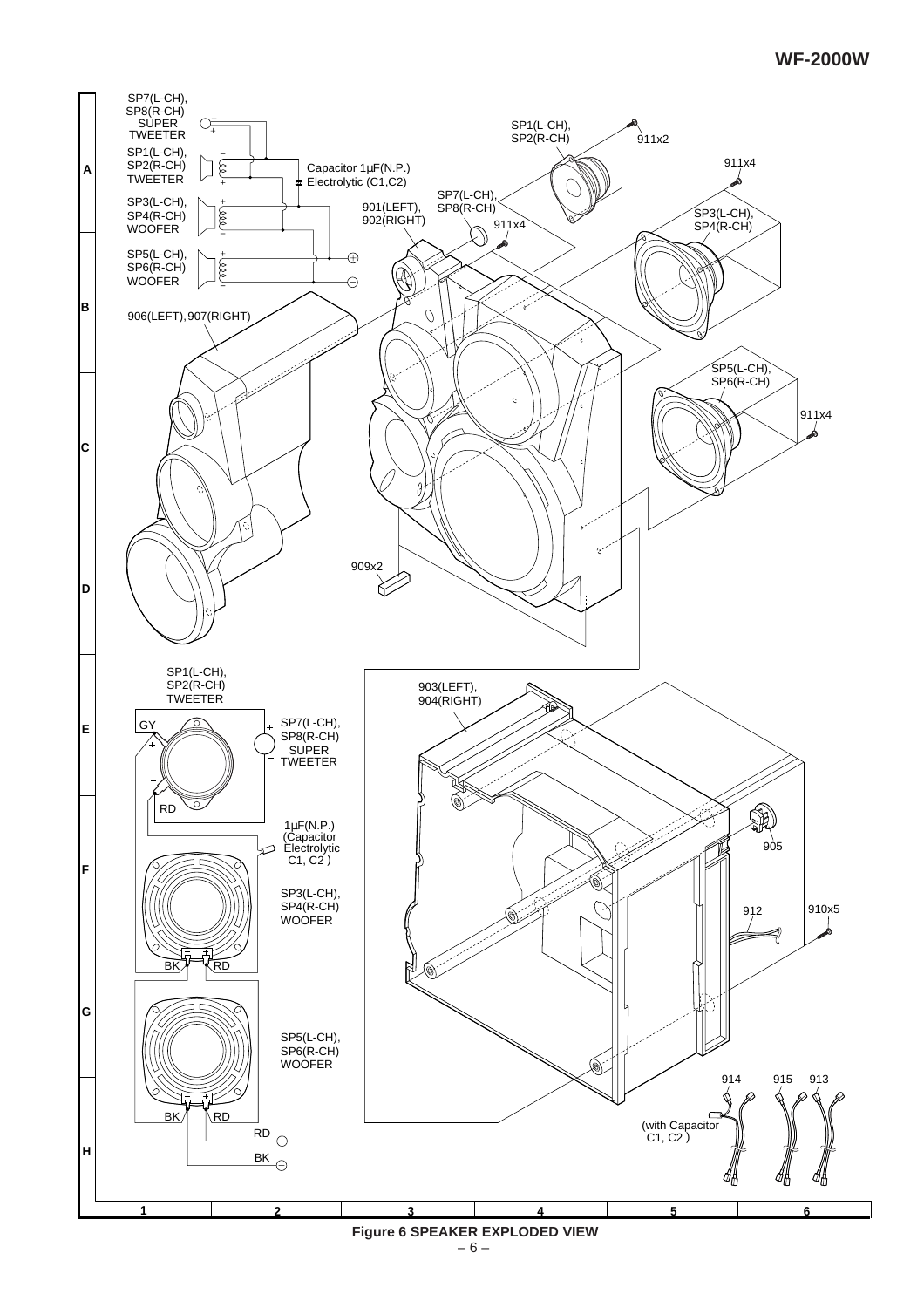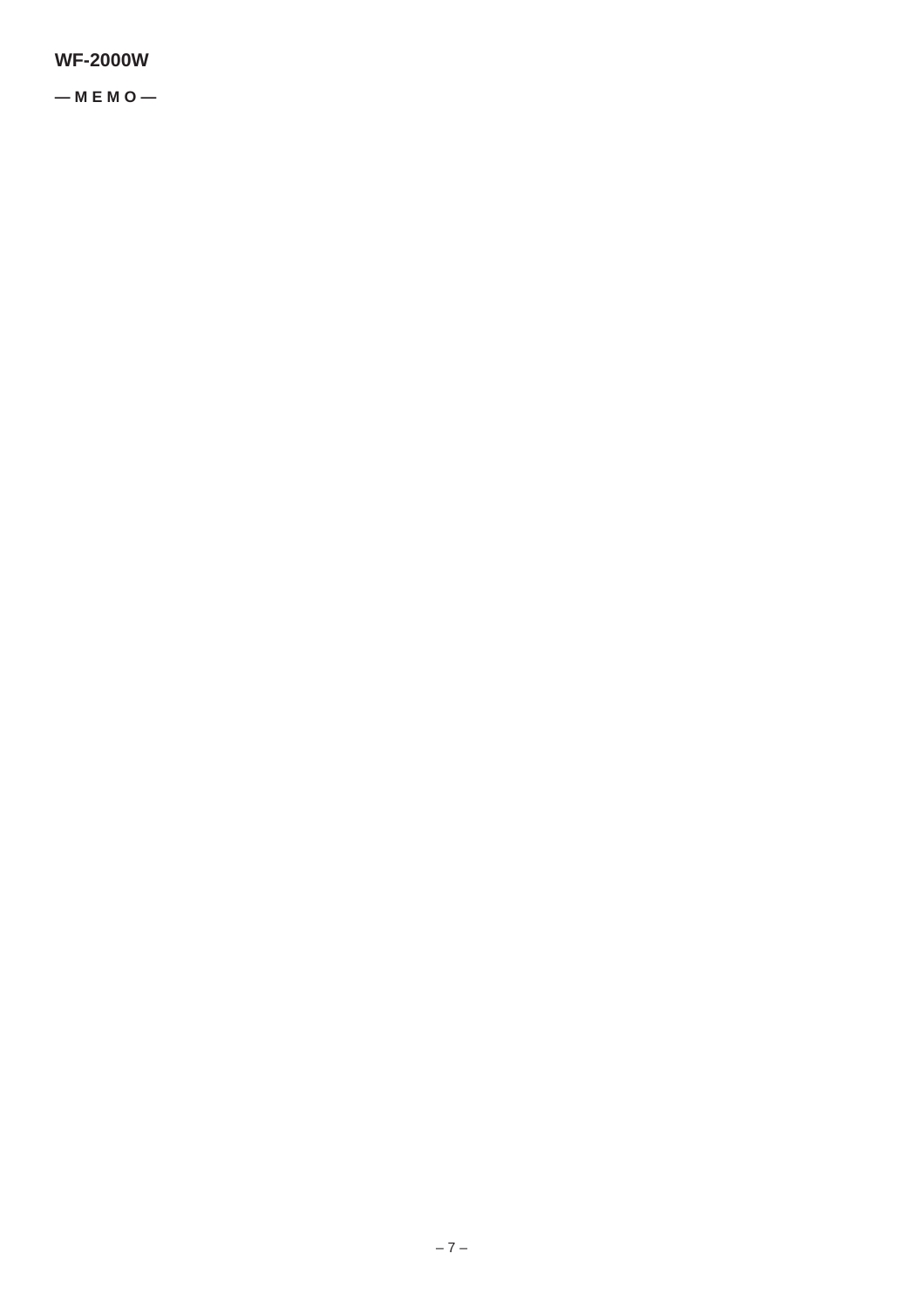**— M E M O —**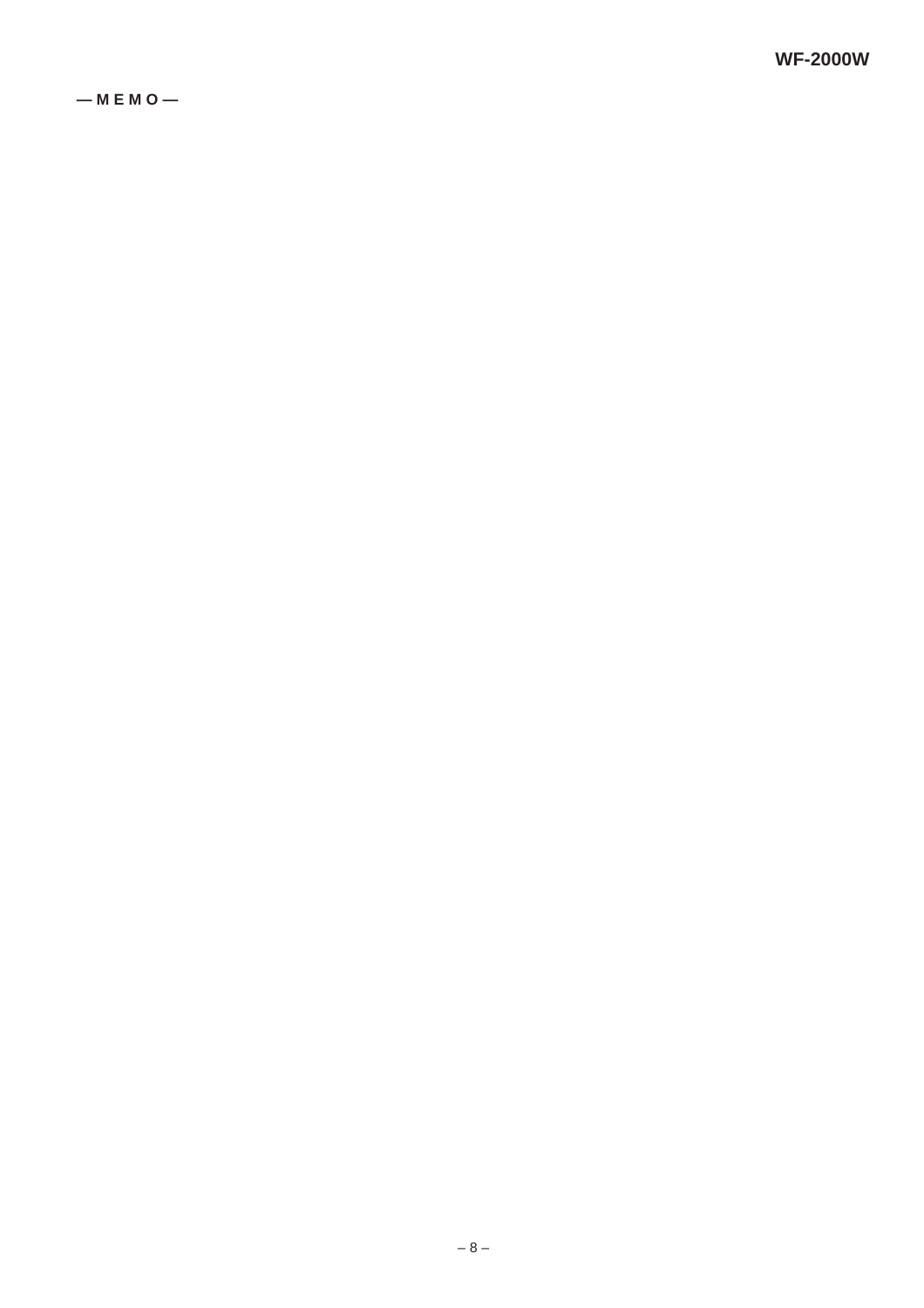**— M E M O —**